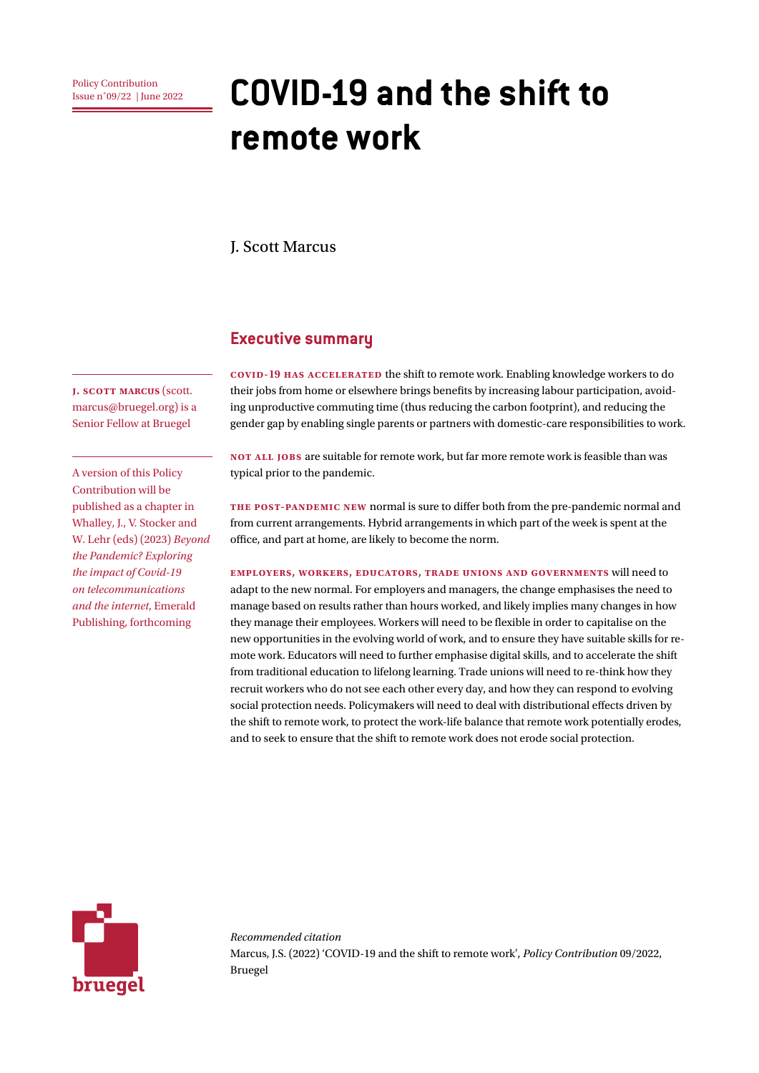# Policy Contribution **COVID-19 and the shift to remote work**

J. Scott Marcus

# **Executive summary**

**COVID-19 has accelerated** the shift to remote work. Enabling knowledge workers to do their jobs from home or elsewhere brings benefits by increasing labour participation, avoiding unproductive commuting time (thus reducing the carbon footprint), and reducing the gender gap by enabling single parents or partners with domestic-care responsibilities to work.

**Not all jobs** are suitable for remote work, but far more remote work is feasible than was typical prior to the pandemic.

**The post-pandemic new** normal is sure to differ both from the pre-pandemic normal and from current arrangements. Hybrid arrangements in which part of the week is spent at the office, and part at home, are likely to become the norm.

**Employers, workers, educators, trade unions and governments** will need to adapt to the new normal. For employers and managers, the change emphasises the need to manage based on results rather than hours worked, and likely implies many changes in how they manage their employees. Workers will need to be flexible in order to capitalise on the new opportunities in the evolving world of work, and to ensure they have suitable skills for remote work. Educators will need to further emphasise digital skills, and to accelerate the shift from traditional education to lifelong learning. Trade unions will need to re-think how they recruit workers who do not see each other every day, and how they can respond to evolving social protection needs. Policymakers will need to deal with distributional effects driven by the shift to remote work, to protect the work-life balance that remote work potentially erodes, and to seek to ensure that the shift to remote work does not erode social protection.



*Recommended citation* Marcus, J.S. (2022) 'COVID-19 and the shift to remote work', *Policy Contribution* 09/2022, Bruegel

**J. Scott marcus** (scott. marcus@bruegel.org) is a Senior Fellow at Bruegel

A version of this Policy Contribution will be published as a chapter in Whalley, J., V. Stocker and W. Lehr (eds) (2023) *Beyond the Pandemic? Exploring the impact of Covid-19 on telecommunications and the internet*, Emerald Publishing, forthcoming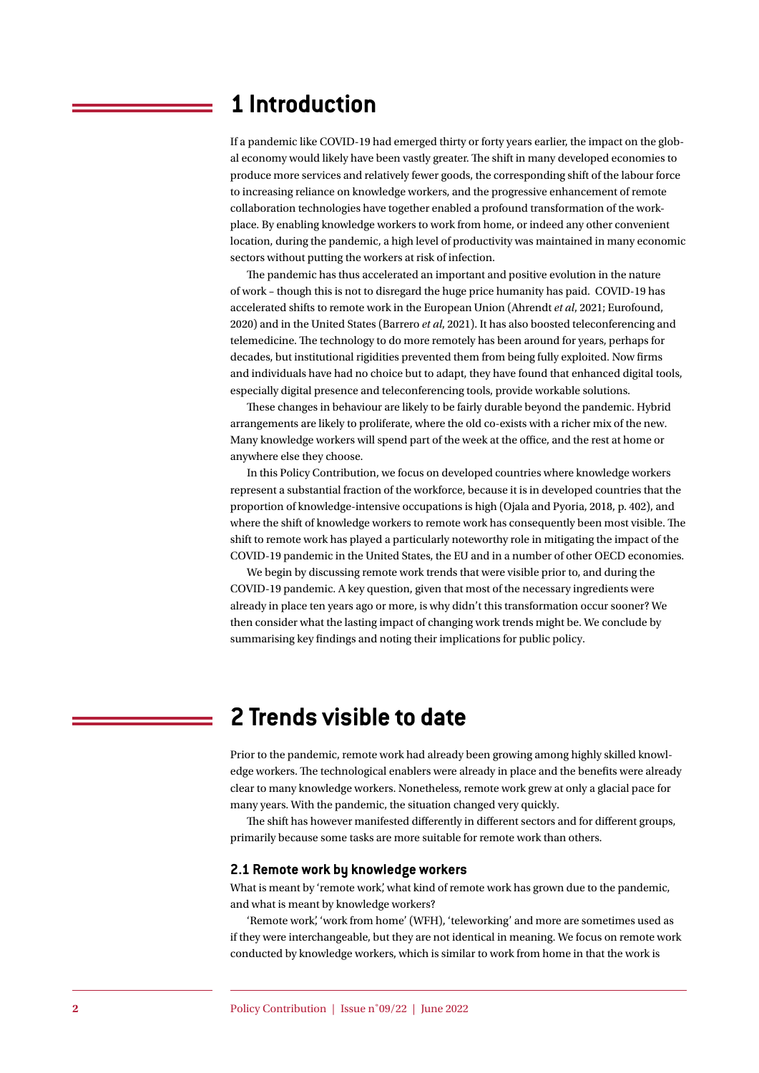# **1 Introduction**

If a pandemic like COVID-19 had emerged thirty or forty years earlier, the impact on the global economy would likely have been vastly greater. The shift in many developed economies to produce more services and relatively fewer goods, the corresponding shift of the labour force to increasing reliance on knowledge workers, and the progressive enhancement of remote collaboration technologies have together enabled a profound transformation of the workplace. By enabling knowledge workers to work from home, or indeed any other convenient location, during the pandemic, a high level of productivity was maintained in many economic sectors without putting the workers at risk of infection.

The pandemic has thus accelerated an important and positive evolution in the nature of work – though this is not to disregard the huge price humanity has paid. COVID-19 has accelerated shifts to remote work in the European Union (Ahrendt *et al*, 2021; Eurofound, 2020) and in the United States (Barrero *et al*, 2021). It has also boosted teleconferencing and telemedicine. The technology to do more remotely has been around for years, perhaps for decades, but institutional rigidities prevented them from being fully exploited. Now firms and individuals have had no choice but to adapt, they have found that enhanced digital tools, especially digital presence and teleconferencing tools, provide workable solutions.

These changes in behaviour are likely to be fairly durable beyond the pandemic. Hybrid arrangements are likely to proliferate, where the old co-exists with a richer mix of the new. Many knowledge workers will spend part of the week at the office, and the rest at home or anywhere else they choose.

In this Policy Contribution, we focus on developed countries where knowledge workers represent a substantial fraction of the workforce, because it is in developed countries that the proportion of knowledge-intensive occupations is high (Ojala and Pyoria, 2018, p. 402), and where the shift of knowledge workers to remote work has consequently been most visible. The shift to remote work has played a particularly noteworthy role in mitigating the impact of the COVID-19 pandemic in the United States, the EU and in a number of other OECD economies.

We begin by discussing remote work trends that were visible prior to, and during the COVID-19 pandemic. A key question, given that most of the necessary ingredients were already in place ten years ago or more, is why didn't this transformation occur sooner? We then consider what the lasting impact of changing work trends might be. We conclude by summarising key findings and noting their implications for public policy.

# **2 Trends visible to date**

Prior to the pandemic, remote work had already been growing among highly skilled knowledge workers. The technological enablers were already in place and the benefits were already clear to many knowledge workers. Nonetheless, remote work grew at only a glacial pace for many years. With the pandemic, the situation changed very quickly.

The shift has however manifested differently in different sectors and for different groups, primarily because some tasks are more suitable for remote work than others.

### **2.1 Remote work by knowledge workers**

What is meant by 'remote work', what kind of remote work has grown due to the pandemic, and what is meant by knowledge workers?

'Remote work', 'work from home' (WFH), 'teleworking' and more are sometimes used as if they were interchangeable, but they are not identical in meaning. We focus on remote work conducted by knowledge workers, which is similar to work from home in that the work is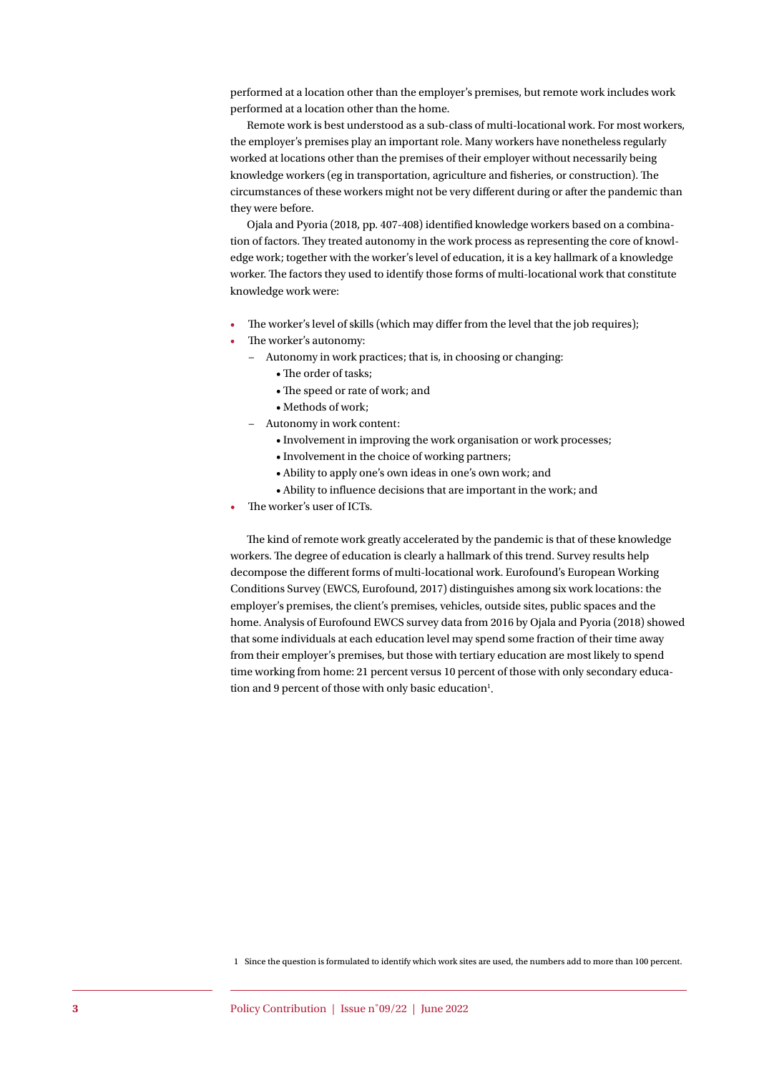performed at a location other than the employer's premises, but remote work includes work performed at a location other than the home.

Remote work is best understood as a sub-class of multi-locational work. For most workers, the employer's premises play an important role. Many workers have nonetheless regularly worked at locations other than the premises of their employer without necessarily being knowledge workers (eg in transportation, agriculture and fisheries, or construction). The circumstances of these workers might not be very different during or after the pandemic than they were before.

Ojala and Pyoria (2018, pp. 407-408) identified knowledge workers based on a combination of factors. They treated autonomy in the work process as representing the core of knowledge work; together with the worker's level of education, it is a key hallmark of a knowledge worker. The factors they used to identify those forms of multi-locational work that constitute knowledge work were:

- The worker's level of skills (which may differ from the level that the job requires);
- The worker's autonomy:
	- − Autonomy in work practices; that is, in choosing or changing:
		- The order of tasks;
		- The speed or rate of work; and
		- Methods of work;
	- − Autonomy in work content:
		- Involvement in improving the work organisation or work processes;
		- Involvement in the choice of working partners;
		- Ability to apply one's own ideas in one's own work; and
		- Ability to influence decisions that are important in the work; and
- The worker's user of ICTs.

The kind of remote work greatly accelerated by the pandemic is that of these knowledge workers. The degree of education is clearly a hallmark of this trend. Survey results help decompose the different forms of multi-locational work. Eurofound's European Working Conditions Survey (EWCS, Eurofound, 2017) distinguishes among six work locations: the employer's premises, the client's premises, vehicles, outside sites, public spaces and the home. Analysis of Eurofound EWCS survey data from 2016 by Ojala and Pyoria (2018) showed that some individuals at each education level may spend some fraction of their time away from their employer's premises, but those with tertiary education are most likely to spend time working from home: 21 percent versus 10 percent of those with only secondary education and 9 percent of those with only basic education<sup>1</sup>.

1 Since the question is formulated to identify which work sites are used, the numbers add to more than 100 percent.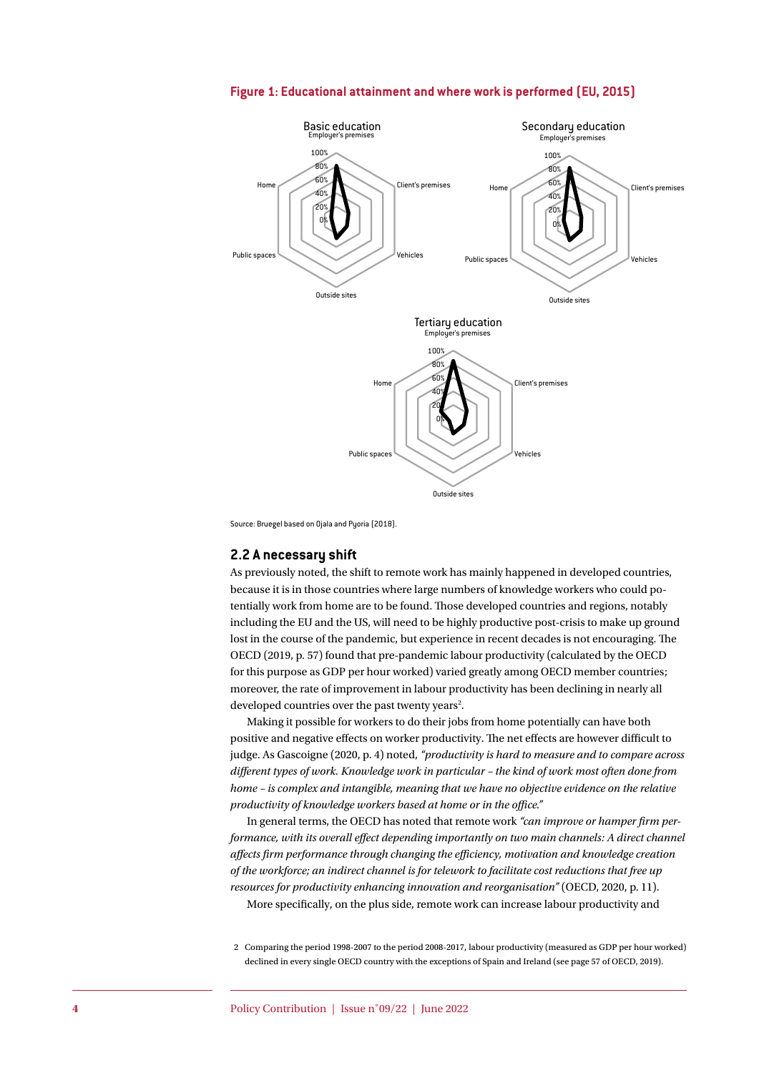

**Figure 1: Educational attainment and where work is performed (EU, 2015)**

Source: Bruegel based on Ojala and Puoria (2018).

## **2.2 A necessary shift**

As previously noted, the shift to remote work has mainly happened in developed countries, because it is in those countries where large numbers of knowledge workers who could potentially work from home are to be found. Those developed countries and regions, notably including the EU and the US, will need to be highly productive post-crisis to make up ground lost in the course of the pandemic, but experience in recent decades is not encouraging. The OECD (2019, p. 57) found that pre-pandemic labour productivity (calculated by the OECD for this purpose as GDP per hour worked) varied greatly among OECD member countries; moreover, the rate of improvement in labour productivity has been declining in nearly all developed countries over the past twenty years<sup>2</sup>.

Making it possible for workers to do their jobs from home potentially can have both positive and negative effects on worker productivity. The net effects are however difficult to judge. As Gascoigne (2020, p. 4) noted, *"productivity is hard to measure and to compare across different types of work. Knowledge work in particular – the kind of work most often done from home – is complex and intangible, meaning that we have no objective evidence on the relative productivity of knowledge workers based at home or in the office."*

In general terms, the OECD has noted that remote work *"can improve or hamper firm performance, with its overall effect depending importantly on two main channels: A direct channel affects firm performance through changing the efficiency, motivation and knowledge creation of the workforce; an indirect channel is for telework to facilitate cost reductions that free up resources for productivity enhancing innovation and reorganisation"* (OECD, 2020, p. 11). More specifically, on the plus side, remote work can increase labour productivity and

2 Comparing the period 1998-2007 to the period 2008-2017, labour productivity (measured as GDP per hour worked) declined in every single OECD country with the exceptions of Spain and Ireland (see page 57 of OECD, 2019).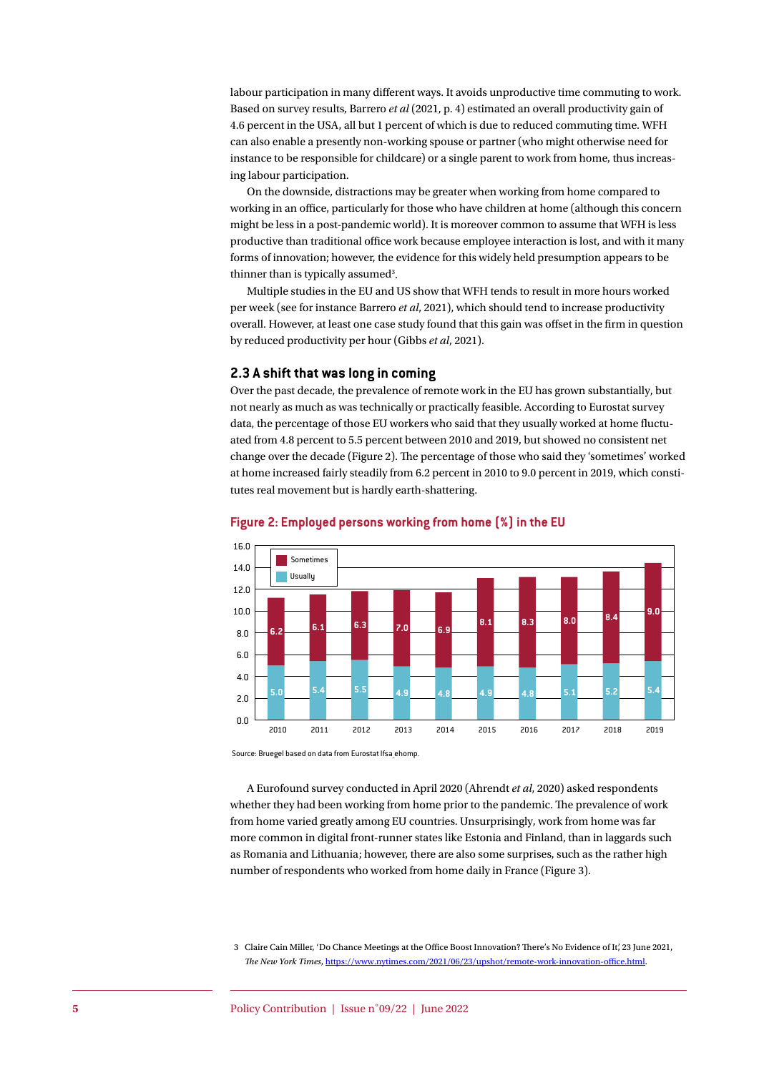labour participation in many different ways. It avoids unproductive time commuting to work. Based on survey results, Barrero *et al* (2021, p. 4) estimated an overall productivity gain of 4.6 percent in the USA, all but 1 percent of which is due to reduced commuting time. WFH can also enable a presently non-working spouse or partner (who might otherwise need for instance to be responsible for childcare) or a single parent to work from home, thus increasing labour participation.

On the downside, distractions may be greater when working from home compared to working in an office, particularly for those who have children at home (although this concern might be less in a post-pandemic world). It is moreover common to assume that WFH is less productive than traditional office work because employee interaction is lost, and with it many forms of innovation; however, the evidence for this widely held presumption appears to be thinner than is typically assumed<sup>3</sup>.

Multiple studies in the EU and US show that WFH tends to result in more hours worked per week (see for instance Barrero *et al*, 2021), which should tend to increase productivity overall. However, at least one case study found that this gain was offset in the firm in question by reduced productivity per hour (Gibbs *et al*, 2021).

# **2.3 A shift that was long in coming**

Over the past decade, the prevalence of remote work in the EU has grown substantially, but not nearly as much as was technically or practically feasible. According to Eurostat survey data, the percentage of those EU workers who said that they usually worked at home fluctuated from 4.8 percent to 5.5 percent between 2010 and 2019, but showed no consistent net change over the decade (Figure 2). The percentage of those who said they 'sometimes' worked at home increased fairly steadily from 6.2 percent in 2010 to 9.0 percent in 2019, which constitutes real movement but is hardly earth-shattering.



#### **Figure 2: Employed persons working from home (%) in the EU**

Source: Bruegel based on data from Eurostat lfsa\_ehomp.

A Eurofound survey conducted in April 2020 (Ahrendt *et al*, 2020) asked respondents whether they had been working from home prior to the pandemic. The prevalence of work from home varied greatly among EU countries. Unsurprisingly, work from home was far more common in digital front-runner states like Estonia and Finland, than in laggards such as Romania and Lithuania; however, there are also some surprises, such as the rather high number of respondents who worked from home daily in France (Figure 3).

3 Claire Cain Miller, 'Do Chance Meetings at the Office Boost Innovation? There's No Evidence of It', 23 June 2021, *The New York Times*, <https://www.nytimes.com/2021/06/23/upshot/remote-work-innovation-office.html>.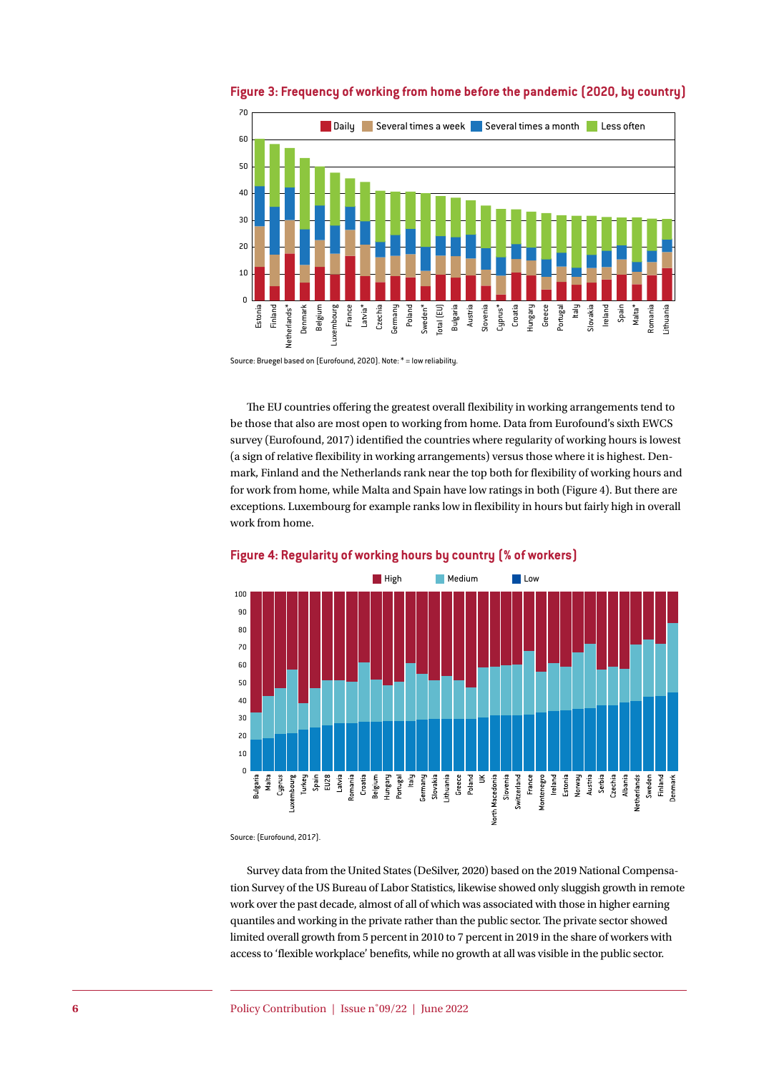

**Figure 3: Frequency of working from home before the pandemic (2020, by country)**

The EU countries offering the greatest overall flexibility in working arrangements tend to be those that also are most open to working from home. Data from Eurofound's sixth EWCS survey (Eurofound, 2017) identified the countries where regularity of working hours is lowest (a sign of relative flexibility in working arrangements) versus those where it is highest. Denmark, Finland and the Netherlands rank near the top both for flexibility of working hours and for work from home, while Malta and Spain have low ratings in both (Figure 4). But there are exceptions. Luxembourg for example ranks low in flexibility in hours but fairly high in overall work from home.



### **Figure 4: Regularity of working hours by country (% of workers)**

Source: (Eurofound, 2017).

Survey data from the United States (DeSilver, 2020) based on the 2019 National Compensation Survey of the US Bureau of Labor Statistics, likewise showed only sluggish growth in remote work over the past decade, almost of all of which was associated with those in higher earning quantiles and working in the private rather than the public sector. The private sector showed limited overall growth from 5 percent in 2010 to 7 percent in 2019 in the share of workers with access to 'flexible workplace' benefits, while no growth at all was visible in the public sector.

Source: Bruegel based on (Eurofound, 2020). Note: \* = low reliability.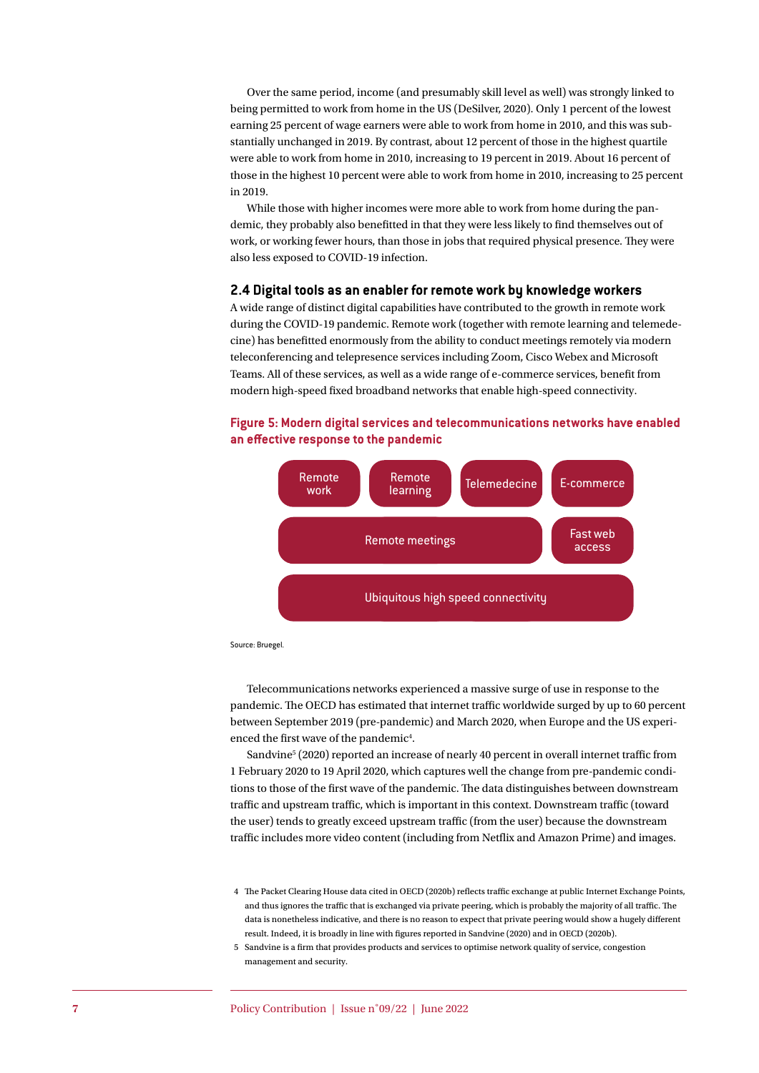Over the same period, income (and presumably skill level as well) was strongly linked to being permitted to work from home in the US (DeSilver, 2020). Only 1 percent of the lowest earning 25 percent of wage earners were able to work from home in 2010, and this was substantially unchanged in 2019. By contrast, about 12 percent of those in the highest quartile were able to work from home in 2010, increasing to 19 percent in 2019. About 16 percent of those in the highest 10 percent were able to work from home in 2010, increasing to 25 percent in 2019.

While those with higher incomes were more able to work from home during the pandemic, they probably also benefitted in that they were less likely to find themselves out of work, or working fewer hours, than those in jobs that required physical presence. They were also less exposed to COVID-19 infection.

### **2.4 Digital tools as an enabler for remote work by knowledge workers**

A wide range of distinct digital capabilities have contributed to the growth in remote work during the COVID-19 pandemic. Remote work (together with remote learning and telemedecine) has benefitted enormously from the ability to conduct meetings remotely via modern teleconferencing and telepresence services including Zoom, Cisco Webex and Microsoft Teams. All of these services, as well as a wide range of e-commerce services, benefit from modern high-speed fixed broadband networks that enable high-speed connectivity.







Telecommunications networks experienced a massive surge of use in response to the pandemic. The OECD has estimated that internet traffic worldwide surged by up to 60 percent between September 2019 (pre-pandemic) and March 2020, when Europe and the US experienced the first wave of the pandemic<sup>4</sup>.

Sandvine<sup>5</sup> (2020) reported an increase of nearly 40 percent in overall internet traffic from 1 February 2020 to 19 April 2020, which captures well the change from pre-pandemic conditions to those of the first wave of the pandemic. The data distinguishes between downstream traffic and upstream traffic, which is important in this context. Downstream traffic (toward the user) tends to greatly exceed upstream traffic (from the user) because the downstream traffic includes more video content (including from Netflix and Amazon Prime) and images.

<sup>4</sup> The Packet Clearing House data cited in OECD (2020b) reflects traffic exchange at public Internet Exchange Points, and thus ignores the traffic that is exchanged via private peering, which is probably the majority of all traffic. The data is nonetheless indicative, and there is no reason to expect that private peering would show a hugely different result. Indeed, it is broadly in line with figures reported in Sandvine (2020) and in OECD (2020b).

<sup>5</sup> Sandvine is a firm that provides products and services to optimise network quality of service, congestion management and security.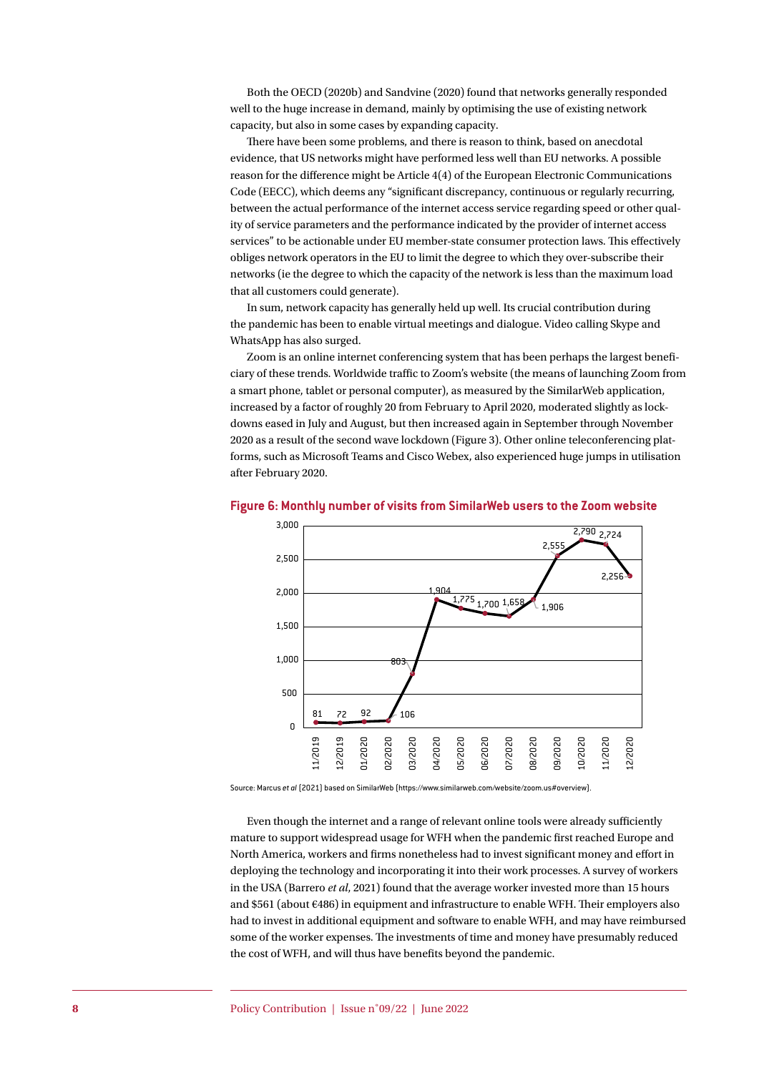Both the OECD (2020b) and Sandvine (2020) found that networks generally responded well to the huge increase in demand, mainly by optimising the use of existing network capacity, but also in some cases by expanding capacity.

There have been some problems, and there is reason to think, based on anecdotal evidence, that US networks might have performed less well than EU networks. A possible reason for the difference might be Article 4(4) of the European Electronic Communications Code (EECC), which deems any "significant discrepancy, continuous or regularly recurring, between the actual performance of the internet access service regarding speed or other quality of service parameters and the performance indicated by the provider of internet access services" to be actionable under EU member-state consumer protection laws. This effectively obliges network operators in the EU to limit the degree to which they over-subscribe their networks (ie the degree to which the capacity of the network is less than the maximum load that all customers could generate).

In sum, network capacity has generally held up well. Its crucial contribution during the pandemic has been to enable virtual meetings and dialogue. Video calling Skype and WhatsApp has also surged.

Zoom is an online internet conferencing system that has been perhaps the largest beneficiary of these trends. Worldwide traffic to Zoom's website (the means of launching Zoom from a smart phone, tablet or personal computer), as measured by the SimilarWeb application, increased by a factor of roughly 20 from February to April 2020, moderated slightly as lockdowns eased in July and August, but then increased again in September through November 2020 as a result of the second wave lockdown (Figure 3). Other online teleconferencing platforms, such as Microsoft Teams and Cisco Webex, also experienced huge jumps in utilisation after February 2020.



#### **Figure 6: Monthly number of visits from SimilarWeb users to the Zoom website**

Source: Marcus *et al* (2021) based on SimilarWeb (https://www.similarweb.com/website/zoom.us#overview).

Even though the internet and a range of relevant online tools were already sufficiently mature to support widespread usage for WFH when the pandemic first reached Europe and North America, workers and firms nonetheless had to invest significant money and effort in deploying the technology and incorporating it into their work processes. A survey of workers in the USA (Barrero *et al*, 2021) found that the average worker invested more than 15 hours and \$561 (about €486) in equipment and infrastructure to enable WFH. Their employers also had to invest in additional equipment and software to enable WFH, and may have reimbursed some of the worker expenses. The investments of time and money have presumably reduced the cost of WFH, and will thus have benefits beyond the pandemic.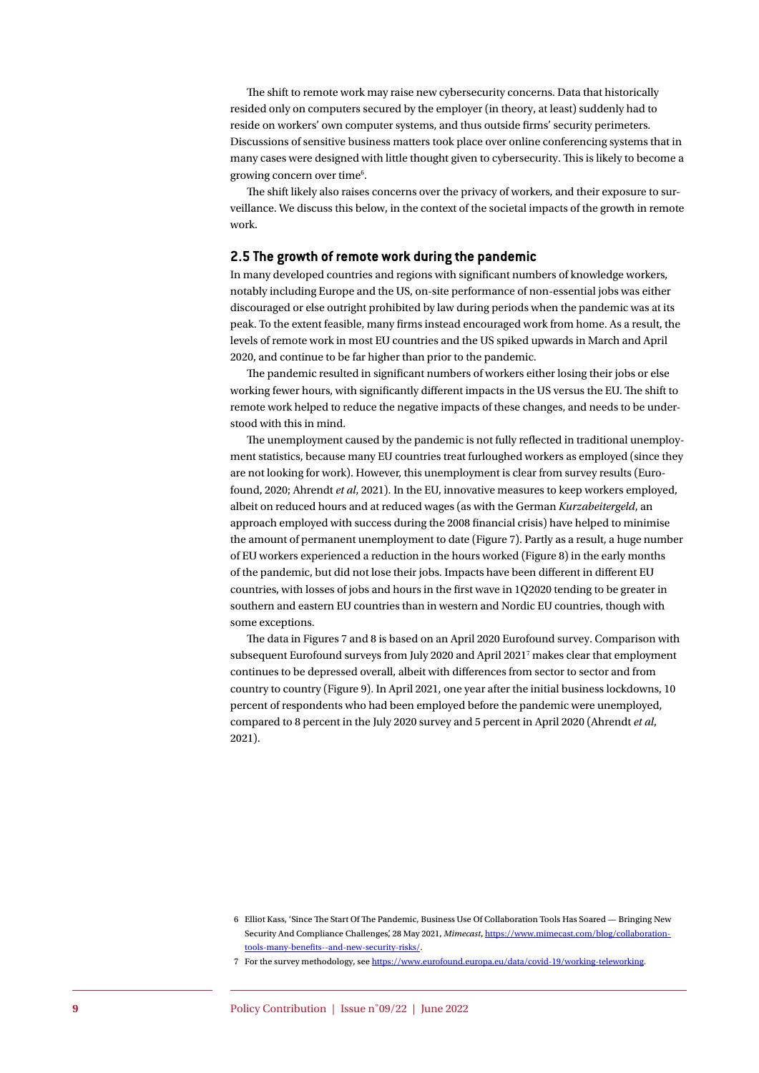The shift to remote work may raise new cybersecurity concerns. Data that historically resided only on computers secured by the employer (in theory, at least) suddenly had to reside on workers' own computer systems, and thus outside firms' security perimeters. Discussions of sensitive business matters took place over online conferencing systems that in many cases were designed with little thought given to cybersecurity. This is likely to become a growing concern over time<sup>6</sup>.

The shift likely also raises concerns over the privacy of workers, and their exposure to surveillance. We discuss this below, in the context of the societal impacts of the growth in remote work.

#### **2.5 The growth of remote work during the pandemic**

In many developed countries and regions with significant numbers of knowledge workers, notably including Europe and the US, on-site performance of non-essential jobs was either discouraged or else outright prohibited by law during periods when the pandemic was at its peak. To the extent feasible, many firms instead encouraged work from home. As a result, the levels of remote work in most EU countries and the US spiked upwards in March and April 2020, and continue to be far higher than prior to the pandemic.

The pandemic resulted in significant numbers of workers either losing their jobs or else working fewer hours, with significantly different impacts in the US versus the EU. The shift to remote work helped to reduce the negative impacts of these changes, and needs to be understood with this in mind.

The unemployment caused by the pandemic is not fully reflected in traditional unemployment statistics, because many EU countries treat furloughed workers as employed (since they are not looking for work). However, this unemployment is clear from survey results (Eurofound, 2020; Ahrendt *et al*, 2021). In the EU, innovative measures to keep workers employed, albeit on reduced hours and at reduced wages (as with the German *Kurzabeitergeld*, an approach employed with success during the 2008 financial crisis) have helped to minimise the amount of permanent unemployment to date (Figure 7). Partly as a result, a huge number of EU workers experienced a reduction in the hours worked (Figure 8) in the early months of the pandemic, but did not lose their jobs. Impacts have been different in different EU countries, with losses of jobs and hours in the first wave in 1Q2020 tending to be greater in southern and eastern EU countries than in western and Nordic EU countries, though with some exceptions.

The data in Figures 7 and 8 is based on an April 2020 Eurofound survey. Comparison with subsequent Eurofound surveys from July 2020 and April 2021<sup>7</sup> makes clear that employment continues to be depressed overall, albeit with differences from sector to sector and from country to country (Figure 9). In April 2021, one year after the initial business lockdowns, 10 percent of respondents who had been employed before the pandemic were unemployed, compared to 8 percent in the July 2020 survey and 5 percent in April 2020 (Ahrendt *et al*, 2021).

<sup>6</sup> Elliot Kass, 'Since The Start Of The Pandemic, Business Use Of Collaboration Tools Has Soared — Bringing New Security And Compliance Challenges', 28 May 2021, *Mimecast*, [https://www.mimecast.com/blog/collaboration](https://www.mimecast.com/blog/collaboration-tools-many-benefits--and-new-security-risks/)[tools-many-benefits--and-new-security-risks/](https://www.mimecast.com/blog/collaboration-tools-many-benefits--and-new-security-risks/).

<sup>7</sup> For the survey methodology, see <https://www.eurofound.europa.eu/data/covid-19/working-teleworking>.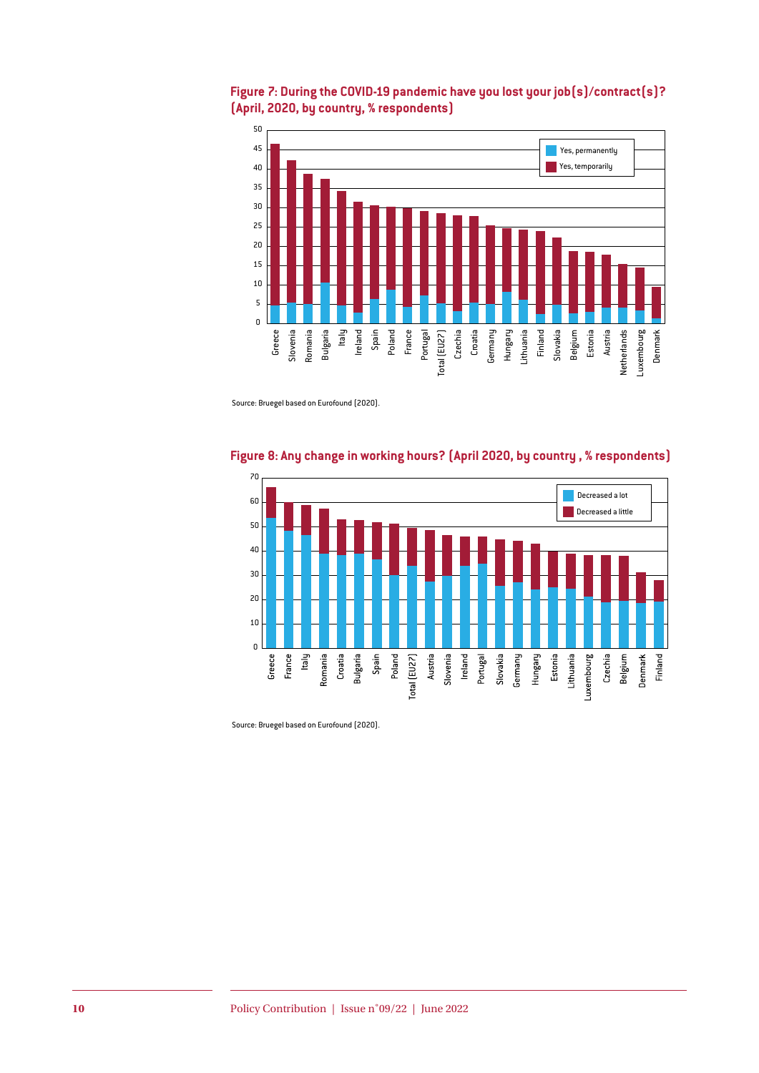



Source: Bruegel based on Eurofound (2020).



# **Figure 8: Any change in working hours? (April 2020, by country , % respondents)**

Source: Bruegel based on Eurofound (2020).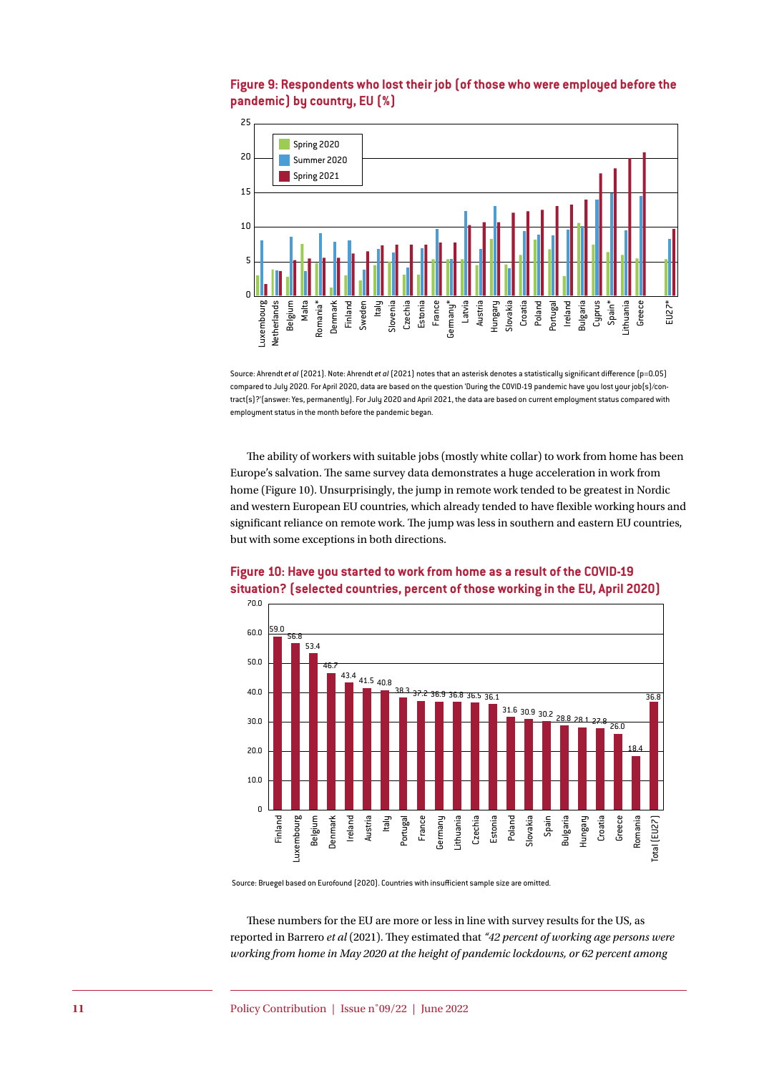

# **Figure 9: Respondents who lost their job (of those who were employed before the pandemic) by country, EU (%)**

Source: Ahrendt *et al* (2021). Note: Ahrendt *et al* (2021) notes that an asterisk denotes a statistically significant difference (p=0.05) compared to July 2020. For April 2020, data are based on the question 'During the COVID-19 pandemic have you lost your job(s)/contract(s)?'(answer: Yes, permanently). For July 2020 and April 2021, the data are based on current employment status compared with employment status in the month before the pandemic began.

The ability of workers with suitable jobs (mostly white collar) to work from home has been Europe's salvation. The same survey data demonstrates a huge acceleration in work from home (Figure 10). Unsurprisingly, the jump in remote work tended to be greatest in Nordic and western European EU countries, which already tended to have flexible working hours and significant reliance on remote work. The jump was less in southern and eastern EU countries, but with some exceptions in both directions.



# **Figure 10: Have you started to work from home as a result of the COVID-19 situation? (selected countries, percent of those working in the EU, April 2020)**

Source: Bruegel based on Eurofound (2020). Countries with insufficient sample size are omitted.

These numbers for the EU are more or less in line with survey results for the US, as reported in Barrero *et al* (2021). They estimated that *"42 percent of working age persons were working from home in May 2020 at the height of pandemic lockdowns, or 62 percent among*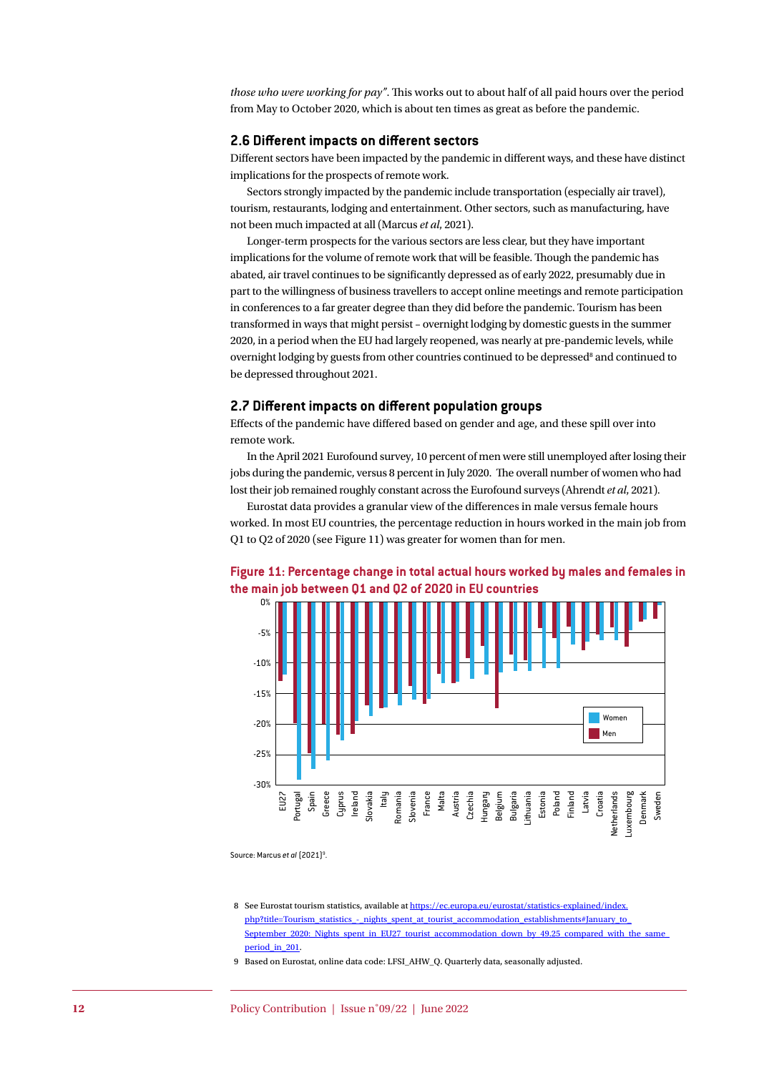*those who were working for pay"*. This works out to about half of all paid hours over the period from May to October 2020, which is about ten times as great as before the pandemic.

### **2.6 Different impacts on different sectors**

Different sectors have been impacted by the pandemic in different ways, and these have distinct implications for the prospects of remote work.

Sectors strongly impacted by the pandemic include transportation (especially air travel), tourism, restaurants, lodging and entertainment. Other sectors, such as manufacturing, have not been much impacted at all (Marcus *et al*, 2021).

Longer-term prospects for the various sectors are less clear, but they have important implications for the volume of remote work that will be feasible. Though the pandemic has abated, air travel continues to be significantly depressed as of early 2022, presumably due in part to the willingness of business travellers to accept online meetings and remote participation in conferences to a far greater degree than they did before the pandemic. Tourism has been transformed in ways that might persist – overnight lodging by domestic guests in the summer 2020, in a period when the EU had largely reopened, was nearly at pre-pandemic levels, while overnight lodging by guests from other countries continued to be depressed<sup>8</sup> and continued to be depressed throughout 2021.

#### **2.7 Different impacts on different population groups**

Effects of the pandemic have differed based on gender and age, and these spill over into remote work.

In the April 2021 Eurofound survey, 10 percent of men were still unemployed after losing their jobs during the pandemic, versus 8 percent in July 2020. The overall number of women who had lost their job remained roughly constant across the Eurofound surveys (Ahrendt *et al*, 2021).

Eurostat data provides a granular view of the differences in male versus female hours worked. In most EU countries, the percentage reduction in hours worked in the main job from Q1 to Q2 of 2020 (see Figure 11) was greater for women than for men.

### **Figure 11: Percentage change in total actual hours worked by males and females in the main job between Q1 and Q2 of 2020 in EU countries**



Source: Marcus *et al* (2021)<sup>9</sup>. .

9 Based on Eurostat, online data code: LFSI\_AHW\_Q. Quarterly data, seasonally adjusted.

<sup>8</sup> See Eurostat tourism statistics, available at [https://ec.europa.eu/eurostat/statistics-explained/index.](https://ec.europa.eu/eurostat/statistics-explained/index.php?title=Tourism_statistics_-_nights_spent_at_tourist_accommodation_establishments#January_to_September_2020:_Nights_spent_in_EU27_tourist_accommodation_down_by_49.25_compared_with_the_same_period_) php?title=Tourism\_statistics -\_nights\_spent\_at\_tourist\_accommodation\_establishments#January\_to\_ [September\\_2020:\\_Nights\\_spent\\_in\\_EU27\\_tourist\\_accommodation\\_down\\_by\\_49.25\\_compared\\_with\\_the\\_same\\_](https://ec.europa.eu/eurostat/statistics-explained/index.php?title=Tourism_statistics_-_nights_spent_at_tourist_accommodation_establishments#January_to_September_2020:_Nights_spent_in_EU27_tourist_accommodation_down_by_49.25_compared_with_the_same_period_) [period\\_in\\_201](https://ec.europa.eu/eurostat/statistics-explained/index.php?title=Tourism_statistics_-_nights_spent_at_tourist_accommodation_establishments#January_to_September_2020:_Nights_spent_in_EU27_tourist_accommodation_down_by_49.25_compared_with_the_same_period_).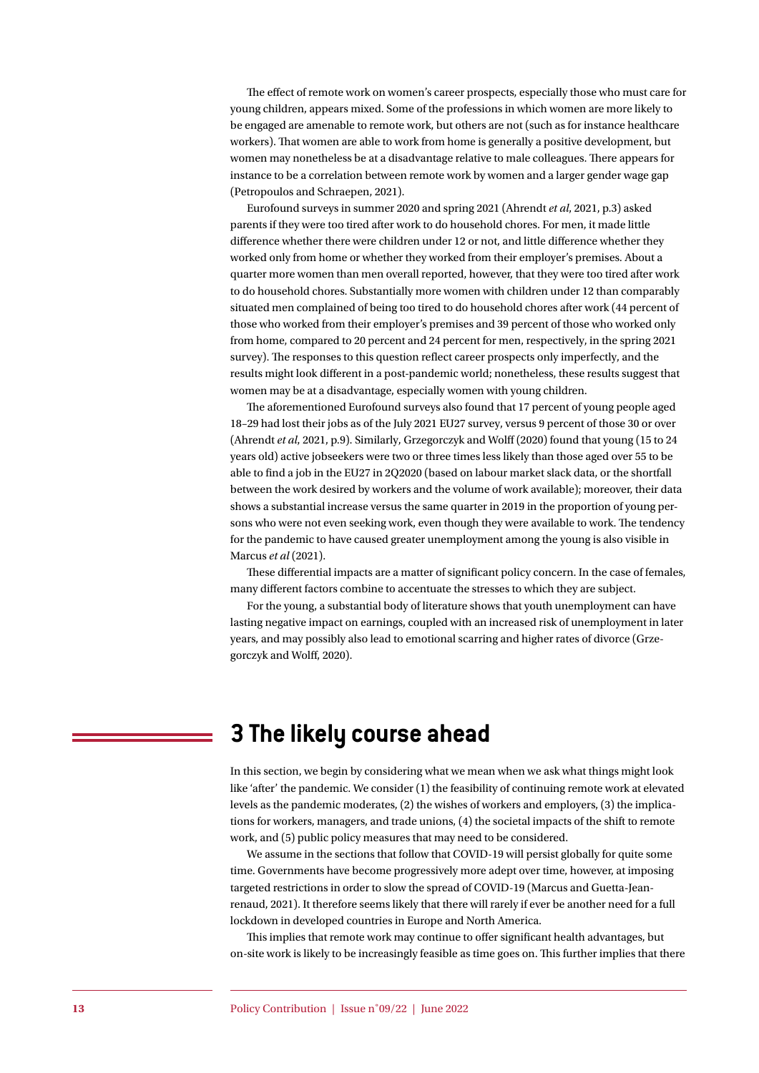The effect of remote work on women's career prospects, especially those who must care for young children, appears mixed. Some of the professions in which women are more likely to be engaged are amenable to remote work, but others are not (such as for instance healthcare workers). That women are able to work from home is generally a positive development, but women may nonetheless be at a disadvantage relative to male colleagues. There appears for instance to be a correlation between remote work by women and a larger gender wage gap (Petropoulos and Schraepen, 2021).

Eurofound surveys in summer 2020 and spring 2021 (Ahrendt *et al*, 2021, p.3) asked parents if they were too tired after work to do household chores. For men, it made little difference whether there were children under 12 or not, and little difference whether they worked only from home or whether they worked from their employer's premises. About a quarter more women than men overall reported, however, that they were too tired after work to do household chores. Substantially more women with children under 12 than comparably situated men complained of being too tired to do household chores after work (44 percent of those who worked from their employer's premises and 39 percent of those who worked only from home, compared to 20 percent and 24 percent for men, respectively, in the spring 2021 survey). The responses to this question reflect career prospects only imperfectly, and the results might look different in a post-pandemic world; nonetheless, these results suggest that women may be at a disadvantage, especially women with young children.

The aforementioned Eurofound surveys also found that 17 percent of young people aged 18–29 had lost their jobs as of the July 2021 EU27 survey, versus 9 percent of those 30 or over (Ahrendt *et al*, 2021, p.9). Similarly, Grzegorczyk and Wolff (2020) found that young (15 to 24 years old) active jobseekers were two or three times less likely than those aged over 55 to be able to find a job in the EU27 in 2Q2020 (based on labour market slack data, or the shortfall between the work desired by workers and the volume of work available); moreover, their data shows a substantial increase versus the same quarter in 2019 in the proportion of young persons who were not even seeking work, even though they were available to work. The tendency for the pandemic to have caused greater unemployment among the young is also visible in Marcus *et al* (2021).

These differential impacts are a matter of significant policy concern. In the case of females, many different factors combine to accentuate the stresses to which they are subject.

For the young, a substantial body of literature shows that youth unemployment can have lasting negative impact on earnings, coupled with an increased risk of unemployment in later years, and may possibly also lead to emotional scarring and higher rates of divorce (Grzegorczyk and Wolff, 2020).

# **3 The likely course ahead**

In this section, we begin by considering what we mean when we ask what things might look like 'after' the pandemic. We consider (1) the feasibility of continuing remote work at elevated levels as the pandemic moderates, (2) the wishes of workers and employers, (3) the implications for workers, managers, and trade unions, (4) the societal impacts of the shift to remote work, and (5) public policy measures that may need to be considered.

We assume in the sections that follow that COVID-19 will persist globally for quite some time. Governments have become progressively more adept over time, however, at imposing targeted restrictions in order to slow the spread of COVID-19 (Marcus and Guetta-Jeanrenaud, 2021). It therefore seems likely that there will rarely if ever be another need for a full lockdown in developed countries in Europe and North America.

This implies that remote work may continue to offer significant health advantages, but on-site work is likely to be increasingly feasible as time goes on. This further implies that there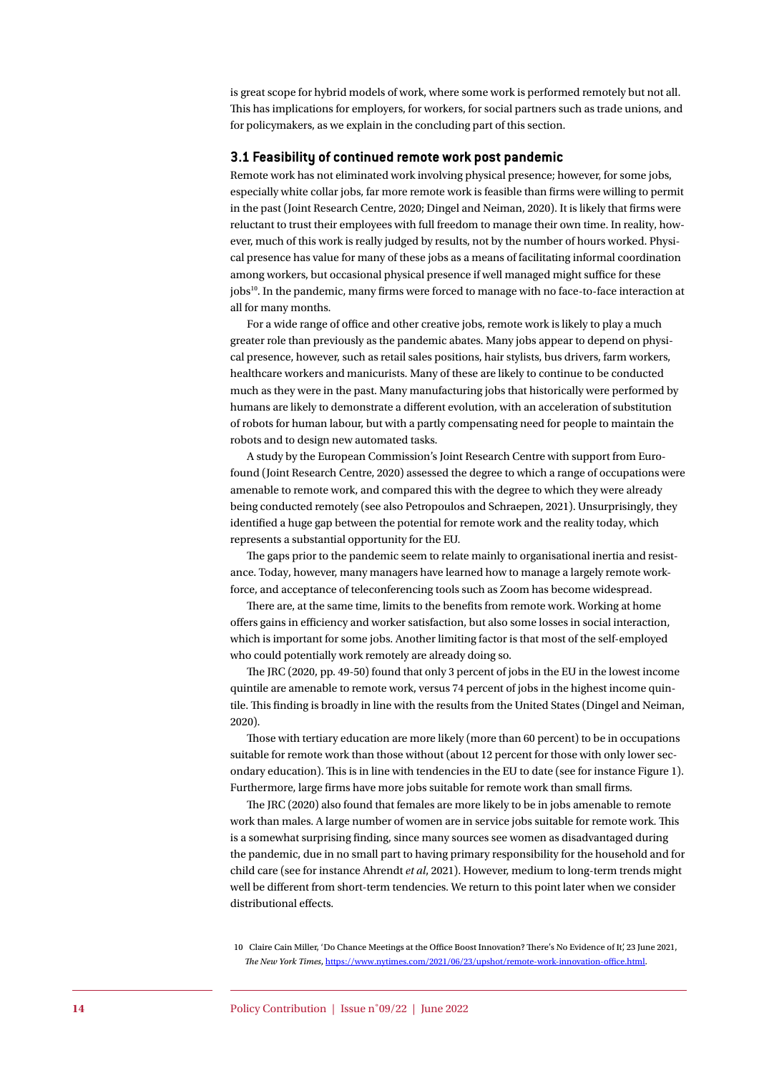is great scope for hybrid models of work, where some work is performed remotely but not all. This has implications for employers, for workers, for social partners such as trade unions, and for policymakers, as we explain in the concluding part of this section.

#### **3.1 Feasibility of continued remote work post pandemic**

Remote work has not eliminated work involving physical presence; however, for some jobs, especially white collar jobs, far more remote work is feasible than firms were willing to permit in the past (Joint Research Centre, 2020; Dingel and Neiman, 2020). It is likely that firms were reluctant to trust their employees with full freedom to manage their own time. In reality, however, much of this work is really judged by results, not by the number of hours worked. Physical presence has value for many of these jobs as a means of facilitating informal coordination among workers, but occasional physical presence if well managed might suffice for these jobs<sup>10</sup>. In the pandemic, many firms were forced to manage with no face-to-face interaction at all for many months.

For a wide range of office and other creative jobs, remote work is likely to play a much greater role than previously as the pandemic abates. Many jobs appear to depend on physical presence, however, such as retail sales positions, hair stylists, bus drivers, farm workers, healthcare workers and manicurists. Many of these are likely to continue to be conducted much as they were in the past. Many manufacturing jobs that historically were performed by humans are likely to demonstrate a different evolution, with an acceleration of substitution of robots for human labour, but with a partly compensating need for people to maintain the robots and to design new automated tasks.

A study by the European Commission's Joint Research Centre with support from Eurofound (Joint Research Centre, 2020) assessed the degree to which a range of occupations were amenable to remote work, and compared this with the degree to which they were already being conducted remotely (see also Petropoulos and Schraepen, 2021). Unsurprisingly, they identified a huge gap between the potential for remote work and the reality today, which represents a substantial opportunity for the EU.

The gaps prior to the pandemic seem to relate mainly to organisational inertia and resistance. Today, however, many managers have learned how to manage a largely remote workforce, and acceptance of teleconferencing tools such as Zoom has become widespread.

There are, at the same time, limits to the benefits from remote work. Working at home offers gains in efficiency and worker satisfaction, but also some losses in social interaction, which is important for some jobs. Another limiting factor is that most of the self-employed who could potentially work remotely are already doing so.

The JRC (2020, pp. 49-50) found that only 3 percent of jobs in the EU in the lowest income quintile are amenable to remote work, versus 74 percent of jobs in the highest income quintile. This finding is broadly in line with the results from the United States (Dingel and Neiman, 2020).

Those with tertiary education are more likely (more than 60 percent) to be in occupations suitable for remote work than those without (about 12 percent for those with only lower secondary education). This is in line with tendencies in the EU to date (see for instance Figure 1). Furthermore, large firms have more jobs suitable for remote work than small firms.

The JRC (2020) also found that females are more likely to be in jobs amenable to remote work than males. A large number of women are in service jobs suitable for remote work. This is a somewhat surprising finding, since many sources see women as disadvantaged during the pandemic, due in no small part to having primary responsibility for the household and for child care (see for instance Ahrendt *et al*, 2021). However, medium to long-term trends might well be different from short-term tendencies. We return to this point later when we consider distributional effects.

10 Claire Cain Miller, 'Do Chance Meetings at the Office Boost Innovation? There's No Evidence of It', 23 June 2021, *The New York Times*, <https://www.nytimes.com/2021/06/23/upshot/remote-work-innovation-office.html>.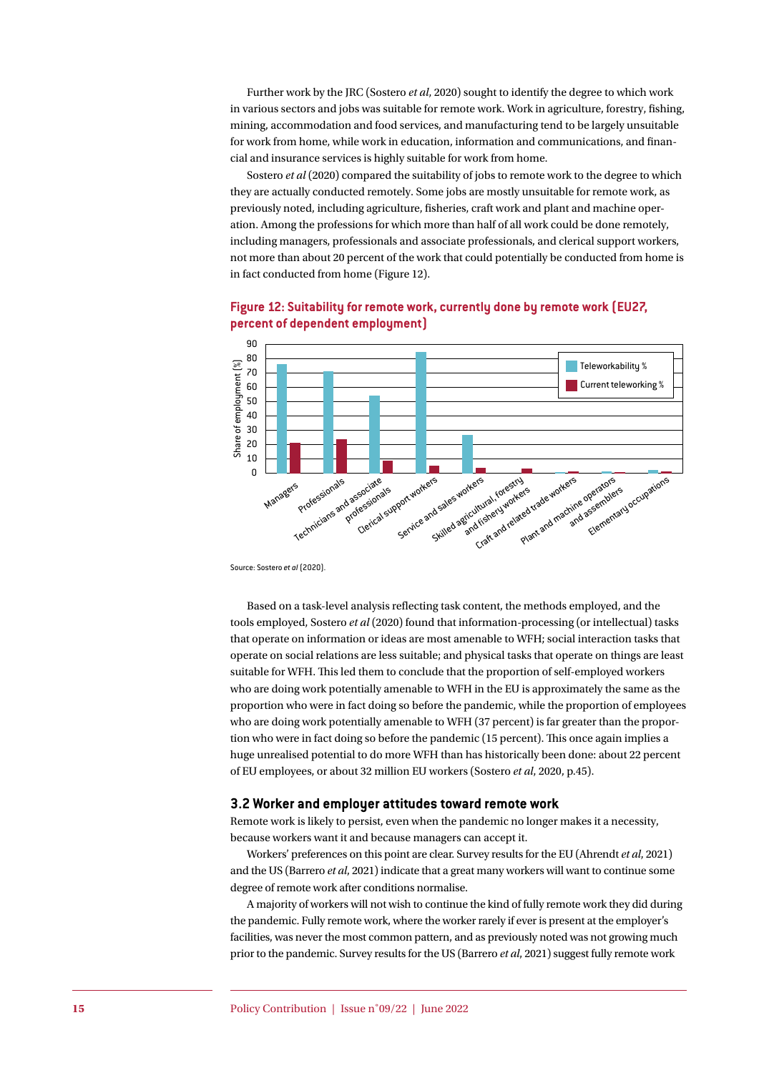Further work by the JRC (Sostero *et al*, 2020) sought to identify the degree to which work in various sectors and jobs was suitable for remote work. Work in agriculture, forestry, fishing, mining, accommodation and food services, and manufacturing tend to be largely unsuitable for work from home, while work in education, information and communications, and financial and insurance services is highly suitable for work from home.

Sostero *et al* (2020) compared the suitability of jobs to remote work to the degree to which they are actually conducted remotely. Some jobs are mostly unsuitable for remote work, as previously noted, including agriculture, fisheries, craft work and plant and machine operation. Among the professions for which more than half of all work could be done remotely, including managers, professionals and associate professionals, and clerical support workers, not more than about 20 percent of the work that could potentially be conducted from home is in fact conducted from home (Figure 12).



## **Figure 12: Suitability for remote work, currently done by remote work (EU27, percent of dependent employment)**

Source: Sostero *et al* (2020).

Based on a task-level analysis reflecting task content, the methods employed, and the tools employed, Sostero *et al* (2020) found that information-processing (or intellectual) tasks that operate on information or ideas are most amenable to WFH; social interaction tasks that operate on social relations are less suitable; and physical tasks that operate on things are least suitable for WFH. This led them to conclude that the proportion of self-employed workers who are doing work potentially amenable to WFH in the EU is approximately the same as the proportion who were in fact doing so before the pandemic, while the proportion of employees who are doing work potentially amenable to WFH (37 percent) is far greater than the proportion who were in fact doing so before the pandemic (15 percent). This once again implies a huge unrealised potential to do more WFH than has historically been done: about 22 percent of EU employees, or about 32 million EU workers (Sostero *et al*, 2020, p.45).

#### **3.2 Worker and employer attitudes toward remote work**

Remote work is likely to persist, even when the pandemic no longer makes it a necessity, because workers want it and because managers can accept it.

Workers' preferences on this point are clear. Survey results for the EU (Ahrendt *et al*, 2021) and the US (Barrero *et al*, 2021) indicate that a great many workers will want to continue some degree of remote work after conditions normalise.

A majority of workers will not wish to continue the kind of fully remote work they did during the pandemic. Fully remote work, where the worker rarely if ever is present at the employer's facilities, was never the most common pattern, and as previously noted was not growing much prior to the pandemic. Survey results for the US (Barrero *et al*, 2021) suggest fully remote work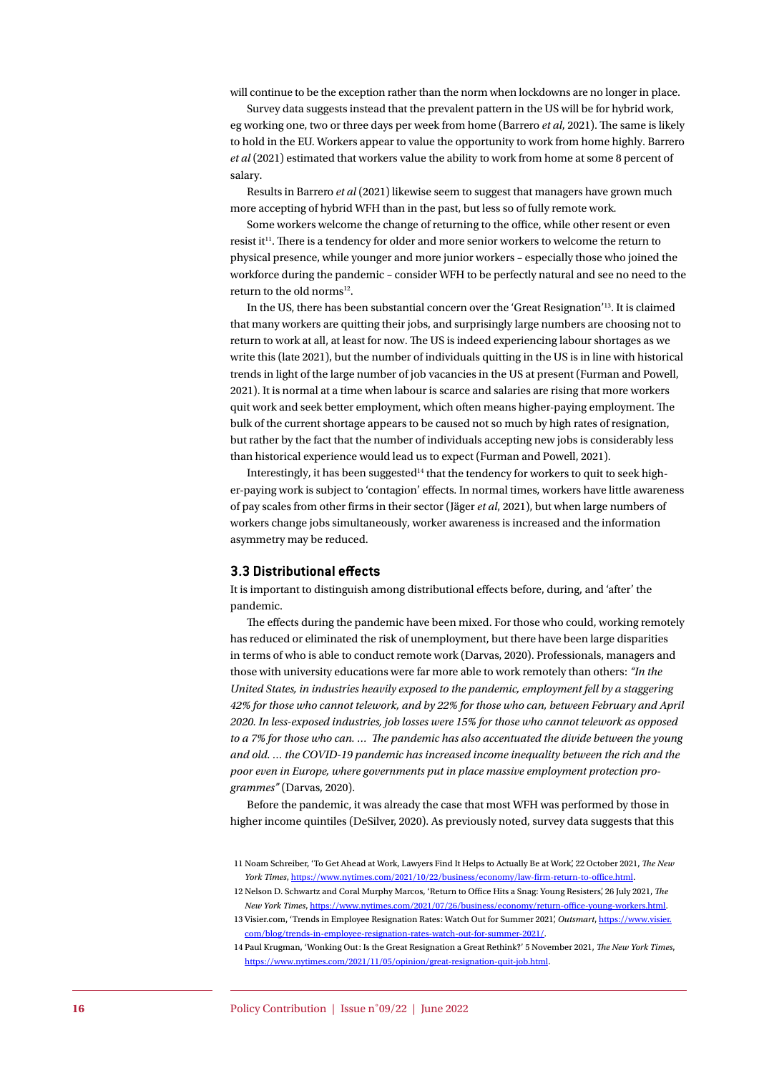will continue to be the exception rather than the norm when lockdowns are no longer in place.

Survey data suggests instead that the prevalent pattern in the US will be for hybrid work, eg working one, two or three days per week from home (Barrero *et al*, 2021). The same is likely to hold in the EU. Workers appear to value the opportunity to work from home highly. Barrero *et al* (2021) estimated that workers value the ability to work from home at some 8 percent of salary.

Results in Barrero *et al* (2021) likewise seem to suggest that managers have grown much more accepting of hybrid WFH than in the past, but less so of fully remote work.

Some workers welcome the change of returning to the office, while other resent or even resist it<sup>11</sup>. There is a tendency for older and more senior workers to welcome the return to physical presence, while younger and more junior workers – especially those who joined the workforce during the pandemic – consider WFH to be perfectly natural and see no need to the return to the old norms<sup>12</sup>.

In the US, there has been substantial concern over the 'Great Resignation'13. It is claimed that many workers are quitting their jobs, and surprisingly large numbers are choosing not to return to work at all, at least for now. The US is indeed experiencing labour shortages as we write this (late 2021), but the number of individuals quitting in the US is in line with historical trends in light of the large number of job vacancies in the US at present (Furman and Powell, 2021). It is normal at a time when labour is scarce and salaries are rising that more workers quit work and seek better employment, which often means higher-paying employment. The bulk of the current shortage appears to be caused not so much by high rates of resignation, but rather by the fact that the number of individuals accepting new jobs is considerably less than historical experience would lead us to expect (Furman and Powell, 2021).

Interestingly, it has been suggested<sup>14</sup> that the tendency for workers to quit to seek higher-paying work is subject to 'contagion' effects. In normal times, workers have little awareness of pay scales from other firms in their sector (Jäger *et al*, 2021), but when large numbers of workers change jobs simultaneously, worker awareness is increased and the information asymmetry may be reduced.

### **3.3 Distributional effects**

It is important to distinguish among distributional effects before, during, and 'after' the pandemic.

The effects during the pandemic have been mixed. For those who could, working remotely has reduced or eliminated the risk of unemployment, but there have been large disparities in terms of who is able to conduct remote work (Darvas, 2020). Professionals, managers and those with university educations were far more able to work remotely than others: *"In the United States, in industries heavily exposed to the pandemic, employment fell by a staggering 42% for those who cannot telework, and by 22% for those who can, between February and April 2020. In less-exposed industries, job losses were 15% for those who cannot telework as opposed to a 7% for those who can. … The pandemic has also accentuated the divide between the young and old. … the COVID-19 pandemic has increased income inequality between the rich and the poor even in Europe, where governments put in place massive employment protection programmes"* (Darvas, 2020).

Before the pandemic, it was already the case that most WFH was performed by those in higher income quintiles (DeSilver, 2020). As previously noted, survey data suggests that this

<sup>11</sup> Noam Schreiber, 'To Get Ahead at Work, Lawyers Find It Helps to Actually Be at Work', 22 October 2021, *The New York Times, <https://www.nytimes.com/2021/10/22/business/economy/law-firm-return-to-office.html>.* 

<sup>12</sup> Nelson D. Schwartz and Coral Murphy Marcos, 'Return to Office Hits a Snag: Young Resisters', 26 July 2021, *The New York Times*, <https://www.nytimes.com/2021/07/26/business/economy/return-office-young-workers.html>.

<sup>13</sup> Visier.com, 'Trends in Employee Resignation Rates: Watch Out for Summer 2021', *Outsmart*, [https://www.visier.](https://www.visier.com/blog/trends-in-employee-resignation-rates-watch-out-for-summer-2021/) [com/blog/trends-in-employee-resignation-rates-watch-out-for-summer-2021/](https://www.visier.com/blog/trends-in-employee-resignation-rates-watch-out-for-summer-2021/).

<sup>14</sup> Paul Krugman, 'Wonking Out: Is the Great Resignation a Great Rethink?' 5 November 2021, *The New York Times*, <https://www.nytimes.com/2021/11/05/opinion/great-resignation-quit-job.html>.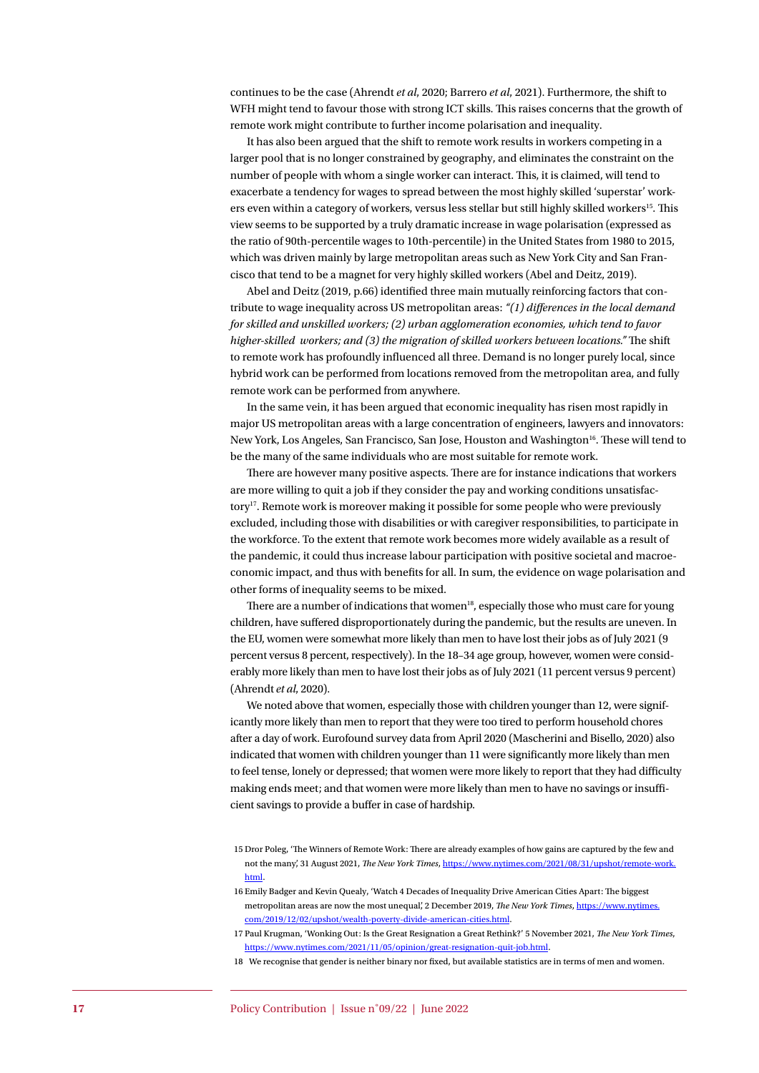continues to be the case (Ahrendt *et al*, 2020; Barrero *et al*, 2021). Furthermore, the shift to WFH might tend to favour those with strong ICT skills. This raises concerns that the growth of remote work might contribute to further income polarisation and inequality.

It has also been argued that the shift to remote work results in workers competing in a larger pool that is no longer constrained by geography, and eliminates the constraint on the number of people with whom a single worker can interact. This, it is claimed, will tend to exacerbate a tendency for wages to spread between the most highly skilled 'superstar' workers even within a category of workers, versus less stellar but still highly skilled workers<sup>15</sup>. This view seems to be supported by a truly dramatic increase in wage polarisation (expressed as the ratio of 90th-percentile wages to 10th-percentile) in the United States from 1980 to 2015, which was driven mainly by large metropolitan areas such as New York City and San Francisco that tend to be a magnet for very highly skilled workers (Abel and Deitz, 2019).

Abel and Deitz (2019, p.66) identified three main mutually reinforcing factors that contribute to wage inequality across US metropolitan areas: *"(1) differences in the local demand for skilled and unskilled workers; (2) urban agglomeration economies, which tend to favor higher-skilled workers; and (3) the migration of skilled workers between locations."* The shift to remote work has profoundly influenced all three. Demand is no longer purely local, since hybrid work can be performed from locations removed from the metropolitan area, and fully remote work can be performed from anywhere.

In the same vein, it has been argued that economic inequality has risen most rapidly in major US metropolitan areas with a large concentration of engineers, lawyers and innovators: New York, Los Angeles, San Francisco, San Jose, Houston and Washington<sup>16</sup>. These will tend to be the many of the same individuals who are most suitable for remote work.

There are however many positive aspects. There are for instance indications that workers are more willing to quit a job if they consider the pay and working conditions unsatisfactory<sup>17</sup>. Remote work is moreover making it possible for some people who were previously excluded, including those with disabilities or with caregiver responsibilities, to participate in the workforce. To the extent that remote work becomes more widely available as a result of the pandemic, it could thus increase labour participation with positive societal and macroeconomic impact, and thus with benefits for all. In sum, the evidence on wage polarisation and other forms of inequality seems to be mixed.

There are a number of indications that women $18$ , especially those who must care for young children, have suffered disproportionately during the pandemic, but the results are uneven. In the EU, women were somewhat more likely than men to have lost their jobs as of July 2021 (9 percent versus 8 percent, respectively). In the 18–34 age group, however, women were considerably more likely than men to have lost their jobs as of July 2021 (11 percent versus 9 percent) (Ahrendt *et al*, 2020).

We noted above that women, especially those with children younger than 12, were significantly more likely than men to report that they were too tired to perform household chores after a day of work. Eurofound survey data from April 2020 (Mascherini and Bisello, 2020) also indicated that women with children younger than 11 were significantly more likely than men to feel tense, lonely or depressed; that women were more likely to report that they had difficulty making ends meet; and that women were more likely than men to have no savings or insufficient savings to provide a buffer in case of hardship.

<sup>15</sup> Dror Poleg, 'The Winners of Remote Work: There are already examples of how gains are captured by the few and not the many', 31 August 2021, *The New York Times*, [https://www.nytimes.com/2021/08/31/upshot/remote-work.](https://www.nytimes.com/2021/08/31/upshot/remote-work.html) [html](https://www.nytimes.com/2021/08/31/upshot/remote-work.html).

<sup>16</sup> Emily Badger and Kevin Quealy, 'Watch 4 Decades of Inequality Drive American Cities Apart: The biggest metropolitan areas are now the most unequal', 2 December 2019, *The New York Times*, [https://www.nytimes.](https://www.nytimes.com/2019/12/02/upshot/wealth-poverty-divide-american-cities.html) [com/2019/12/02/upshot/wealth-poverty-divide-american-cities.html](https://www.nytimes.com/2019/12/02/upshot/wealth-poverty-divide-american-cities.html).

<sup>17</sup> Paul Krugman, 'Wonking Out: Is the Great Resignation a Great Rethink?' 5 November 2021, *The New York Times*, <https://www.nytimes.com/2021/11/05/opinion/great-resignation-quit-job.html>.

<sup>18</sup> We recognise that gender is neither binary nor fixed, but available statistics are in terms of men and women.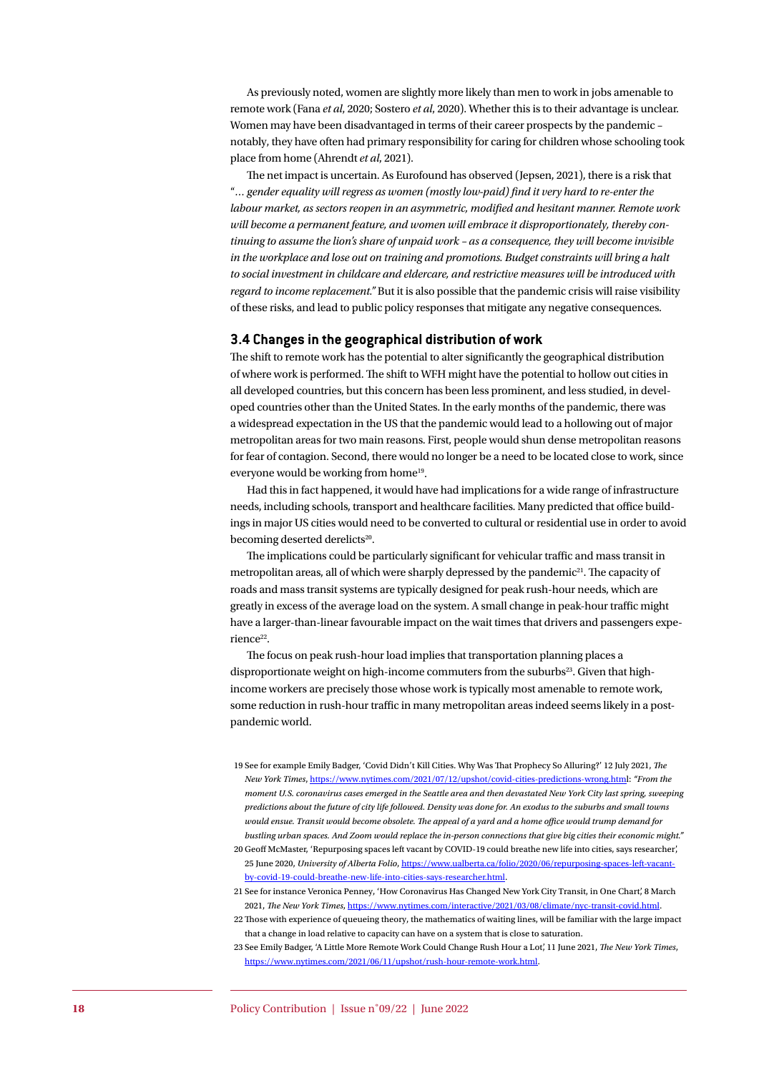As previously noted, women are slightly more likely than men to work in jobs amenable to remote work (Fana *et al*, 2020; Sostero *et al*, 2020). Whether this is to their advantage is unclear. Women may have been disadvantaged in terms of their career prospects by the pandemic – notably, they have often had primary responsibility for caring for children whose schooling took place from home (Ahrendt *et al*, 2021).

The net impact is uncertain. As Eurofound has observed (Jepsen, 2021), there is a risk that "*… gender equality will regress as women (mostly low-paid) find it very hard to re-enter the labour market, as sectors reopen in an asymmetric, modified and hesitant manner. Remote work will become a permanent feature, and women will embrace it disproportionately, thereby continuing to assume the lion's share of unpaid work – as a consequence, they will become invisible in the workplace and lose out on training and promotions. Budget constraints will bring a halt to social investment in childcare and eldercare, and restrictive measures will be introduced with regard to income replacement."* But it is also possible that the pandemic crisis will raise visibility of these risks, and lead to public policy responses that mitigate any negative consequences.

# **3.4 Changes in the geographical distribution of work**

The shift to remote work has the potential to alter significantly the geographical distribution of where work is performed. The shift to WFH might have the potential to hollow out cities in all developed countries, but this concern has been less prominent, and less studied, in developed countries other than the United States. In the early months of the pandemic, there was a widespread expectation in the US that the pandemic would lead to a hollowing out of major metropolitan areas for two main reasons. First, people would shun dense metropolitan reasons for fear of contagion. Second, there would no longer be a need to be located close to work, since everyone would be working from home<sup>19</sup>.

Had this in fact happened, it would have had implications for a wide range of infrastructure needs, including schools, transport and healthcare facilities. Many predicted that office buildings in major US cities would need to be converted to cultural or residential use in order to avoid becoming deserted derelicts<sup>20</sup>.

The implications could be particularly significant for vehicular traffic and mass transit in metropolitan areas, all of which were sharply depressed by the pandemic21. The capacity of roads and mass transit systems are typically designed for peak rush-hour needs, which are greatly in excess of the average load on the system. A small change in peak-hour traffic might have a larger-than-linear favourable impact on the wait times that drivers and passengers experience<sup>22</sup>.

The focus on peak rush-hour load implies that transportation planning places a disproportionate weight on high-income commuters from the suburbs<sup>23</sup>. Given that highincome workers are precisely those whose work is typically most amenable to remote work, some reduction in rush-hour traffic in many metropolitan areas indeed seems likely in a postpandemic world.

<sup>19</sup> See for example Emily Badger, 'Covid Didn't Kill Cities. Why Was That Prophecy So Alluring?' 12 July 2021, *The New York Times*, <https://www.nytimes.com/2021/07/12/upshot/covid-cities-predictions-wrong.htm>l: *"From the moment U.S. coronavirus cases emerged in the Seattle area and then devastated New York City last spring, sweeping predictions about the future of city life followed. Density was done for. An exodus to the suburbs and small towns would ensue. Transit would become obsolete. The appeal of a yard and a home office would trump demand for bustling urban spaces. And Zoom would replace the in-person connections that give big cities their economic might."*

<sup>20</sup> Geoff McMaster, 'Repurposing spaces left vacant by COVID-19 could breathe new life into cities, says researcher', 25 June 2020, *University of Alberta Folio*, [https://www.ualberta.ca/folio/2020/06/repurposing-spaces-left-vacant](https://www.ualberta.ca/folio/2020/06/repurposing-spaces-left-vacant-by-covid-19-could-breathe-new-life-into-cities-says-researcher.html)[by-covid-19-could-breathe-new-life-into-cities-says-researcher.html](https://www.ualberta.ca/folio/2020/06/repurposing-spaces-left-vacant-by-covid-19-could-breathe-new-life-into-cities-says-researcher.html).

<sup>21</sup> See for instance Veronica Penney, 'How Coronavirus Has Changed New York City Transit, in One Chart', 8 March 2021, *The New York Times*, <https://www.nytimes.com/interactive/2021/03/08/climate/nyc-transit-covid.html>.

<sup>22</sup> Those with experience of queueing theory, the mathematics of waiting lines, will be familiar with the large impact that a change in load relative to capacity can have on a system that is close to saturation.

<sup>23</sup> See Emily Badger, 'A Little More Remote Work Could Change Rush Hour a Lot', 11 June 2021, *The New York Times*, <https://www.nytimes.com/2021/06/11/upshot/rush-hour-remote-work.html>.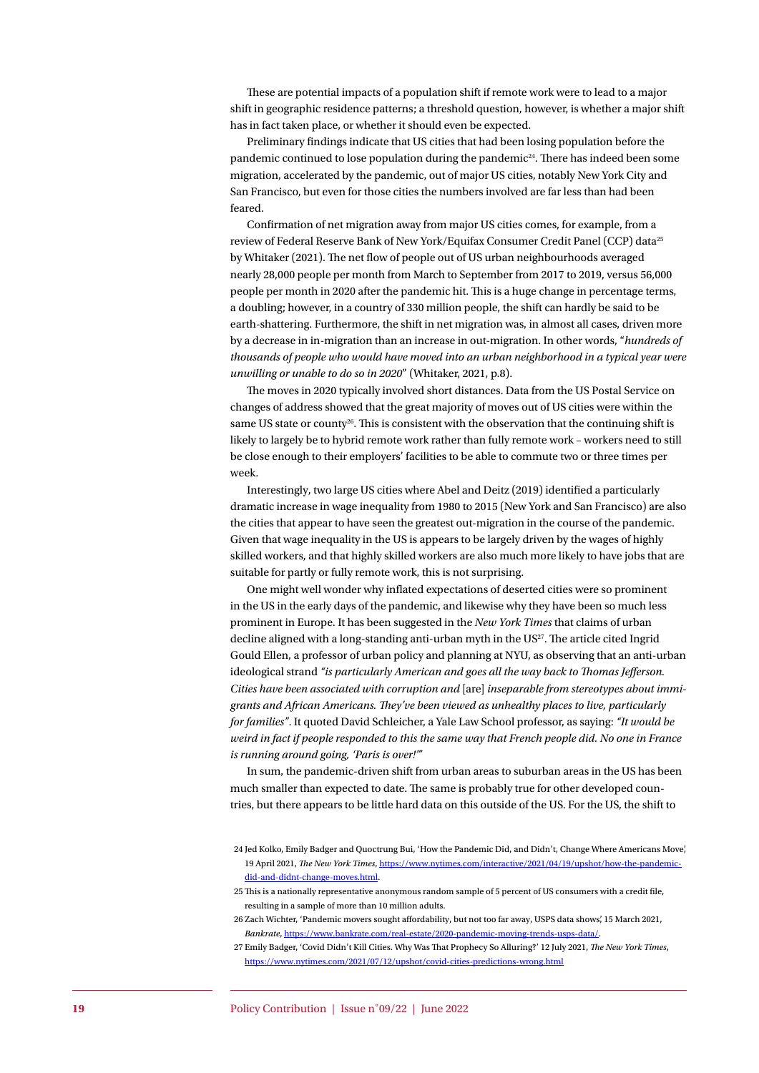These are potential impacts of a population shift if remote work were to lead to a major shift in geographic residence patterns; a threshold question, however, is whether a major shift has in fact taken place, or whether it should even be expected.

Preliminary findings indicate that US cities that had been losing population before the pandemic continued to lose population during the pandemic<sup>24</sup>. There has indeed been some migration, accelerated by the pandemic, out of major US cities, notably New York City and San Francisco, but even for those cities the numbers involved are far less than had been feared.

Confirmation of net migration away from major US cities comes, for example, from a review of Federal Reserve Bank of New York/Equifax Consumer Credit Panel (CCP) data<sup>25</sup> by Whitaker (2021). The net flow of people out of US urban neighbourhoods averaged nearly 28,000 people per month from March to September from 2017 to 2019, versus 56,000 people per month in 2020 after the pandemic hit. This is a huge change in percentage terms, a doubling; however, in a country of 330 million people, the shift can hardly be said to be earth-shattering. Furthermore, the shift in net migration was, in almost all cases, driven more by a decrease in in-migration than an increase in out-migration. In other words, "*hundreds of thousands of people who would have moved into an urban neighborhood in a typical year were unwilling or unable to do so in 2020*" (Whitaker, 2021, p.8).

The moves in 2020 typically involved short distances. Data from the US Postal Service on changes of address showed that the great majority of moves out of US cities were within the same US state or county<sup>26</sup>. This is consistent with the observation that the continuing shift is likely to largely be to hybrid remote work rather than fully remote work – workers need to still be close enough to their employers' facilities to be able to commute two or three times per week.

Interestingly, two large US cities where Abel and Deitz (2019) identified a particularly dramatic increase in wage inequality from 1980 to 2015 (New York and San Francisco) are also the cities that appear to have seen the greatest out-migration in the course of the pandemic. Given that wage inequality in the US is appears to be largely driven by the wages of highly skilled workers, and that highly skilled workers are also much more likely to have jobs that are suitable for partly or fully remote work, this is not surprising.

One might well wonder why inflated expectations of deserted cities were so prominent in the US in the early days of the pandemic, and likewise why they have been so much less prominent in Europe. It has been suggested in the *New York Times* that claims of urban decline aligned with a long-standing anti-urban myth in the US<sup>27</sup>. The article cited Ingrid Gould Ellen, a professor of urban policy and planning at NYU, as observing that an anti-urban ideological strand *"is particularly American and goes all the way back to Thomas Jefferson. Cities have been associated with corruption and* [are] *inseparable from stereotypes about immigrants and African Americans. They've been viewed as unhealthy places to live, particularly for families"*. It quoted David Schleicher, a Yale Law School professor, as saying: *"It would be weird in fact if people responded to this the same way that French people did. No one in France is running around going, 'Paris is over!'"*

In sum, the pandemic-driven shift from urban areas to suburban areas in the US has been much smaller than expected to date. The same is probably true for other developed countries, but there appears to be little hard data on this outside of the US. For the US, the shift to

<sup>24</sup> Jed Kolko, Emily Badger and Quoctrung Bui, 'How the Pandemic Did, and Didn't, Change Where Americans Move', 19 April 2021, *The New York Times*, [https://www.nytimes.com/interactive/2021/04/19/upshot/how-the-pandemic](https://www.nytimes.com/interactive/2021/04/19/upshot/how-the-pandemic-did-and-didnt-change-moves.html)[did-and-didnt-change-moves.html](https://www.nytimes.com/interactive/2021/04/19/upshot/how-the-pandemic-did-and-didnt-change-moves.html).

<sup>25</sup> This is a nationally representative anonymous random sample of 5 percent of US consumers with a credit file, resulting in a sample of more than 10 million adults.

<sup>26</sup> Zach Wichter, 'Pandemic movers sought affordability, but not too far away, USPS data shows', 15 March 2021, *Bankrate*, <https://www.bankrate.com/real-estate/2020-pandemic-moving-trends-usps-data/>.

<sup>27</sup> Emily Badger, 'Covid Didn't Kill Cities. Why Was That Prophecy So Alluring?' 12 July 2021, *The New York Times*, <https://www.nytimes.com/2021/07/12/upshot/covid-cities-predictions-wrong.html>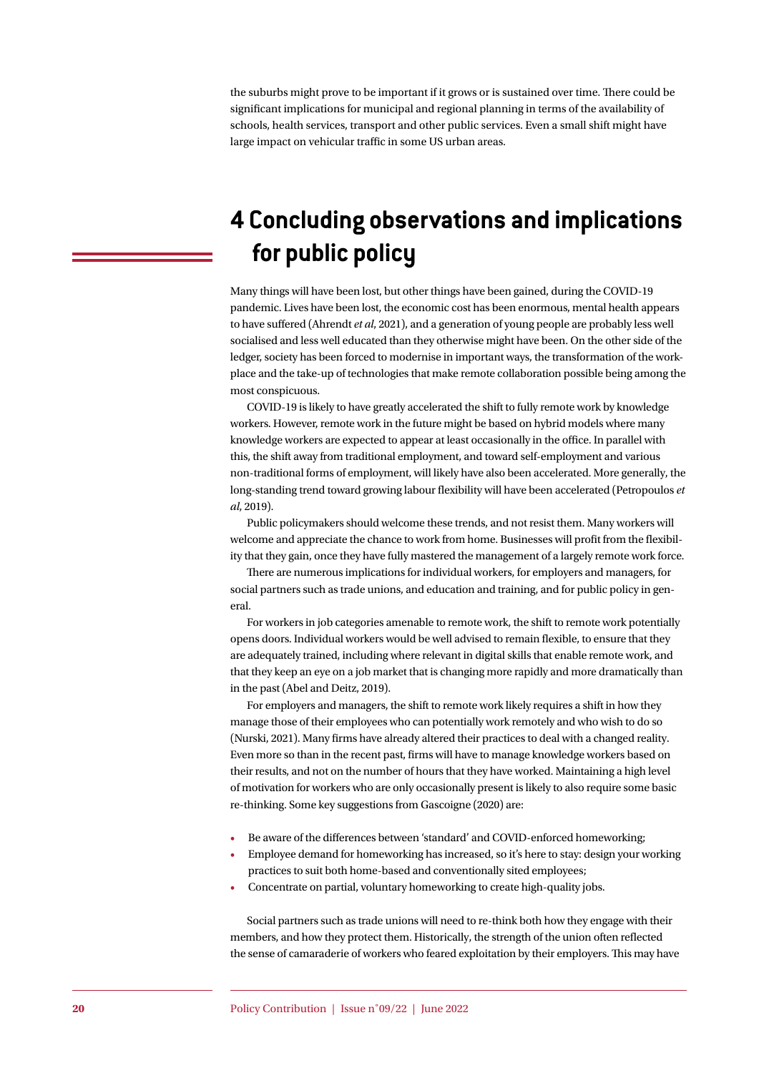the suburbs might prove to be important if it grows or is sustained over time. There could be significant implications for municipal and regional planning in terms of the availability of schools, health services, transport and other public services. Even a small shift might have large impact on vehicular traffic in some US urban areas.

# **4 Concluding observations and implications for public policy**

Many things will have been lost, but other things have been gained, during the COVID-19 pandemic. Lives have been lost, the economic cost has been enormous, mental health appears to have suffered (Ahrendt *et al*, 2021), and a generation of young people are probably less well socialised and less well educated than they otherwise might have been. On the other side of the ledger, society has been forced to modernise in important ways, the transformation of the workplace and the take-up of technologies that make remote collaboration possible being among the most conspicuous.

COVID-19 is likely to have greatly accelerated the shift to fully remote work by knowledge workers. However, remote work in the future might be based on hybrid models where many knowledge workers are expected to appear at least occasionally in the office. In parallel with this, the shift away from traditional employment, and toward self-employment and various non-traditional forms of employment, will likely have also been accelerated. More generally, the long-standing trend toward growing labour flexibility will have been accelerated (Petropoulos *et al*, 2019).

Public policymakers should welcome these trends, and not resist them. Many workers will welcome and appreciate the chance to work from home. Businesses will profit from the flexibility that they gain, once they have fully mastered the management of a largely remote work force.

There are numerous implications for individual workers, for employers and managers, for social partners such as trade unions, and education and training, and for public policy in general.

For workers in job categories amenable to remote work, the shift to remote work potentially opens doors. Individual workers would be well advised to remain flexible, to ensure that they are adequately trained, including where relevant in digital skills that enable remote work, and that they keep an eye on a job market that is changing more rapidly and more dramatically than in the past (Abel and Deitz, 2019).

For employers and managers, the shift to remote work likely requires a shift in how they manage those of their employees who can potentially work remotely and who wish to do so (Nurski, 2021). Many firms have already altered their practices to deal with a changed reality. Even more so than in the recent past, firms will have to manage knowledge workers based on their results, and not on the number of hours that they have worked. Maintaining a high level of motivation for workers who are only occasionally present is likely to also require some basic re-thinking. Some key suggestions from Gascoigne (2020) are:

- Be aware of the differences between 'standard' and COVID-enforced homeworking;
- Employee demand for homeworking has increased, so it's here to stay: design your working practices to suit both home-based and conventionally sited employees;
- Concentrate on partial, voluntary homeworking to create high-quality jobs.

Social partners such as trade unions will need to re-think both how they engage with their members, and how they protect them. Historically, the strength of the union often reflected the sense of camaraderie of workers who feared exploitation by their employers. This may have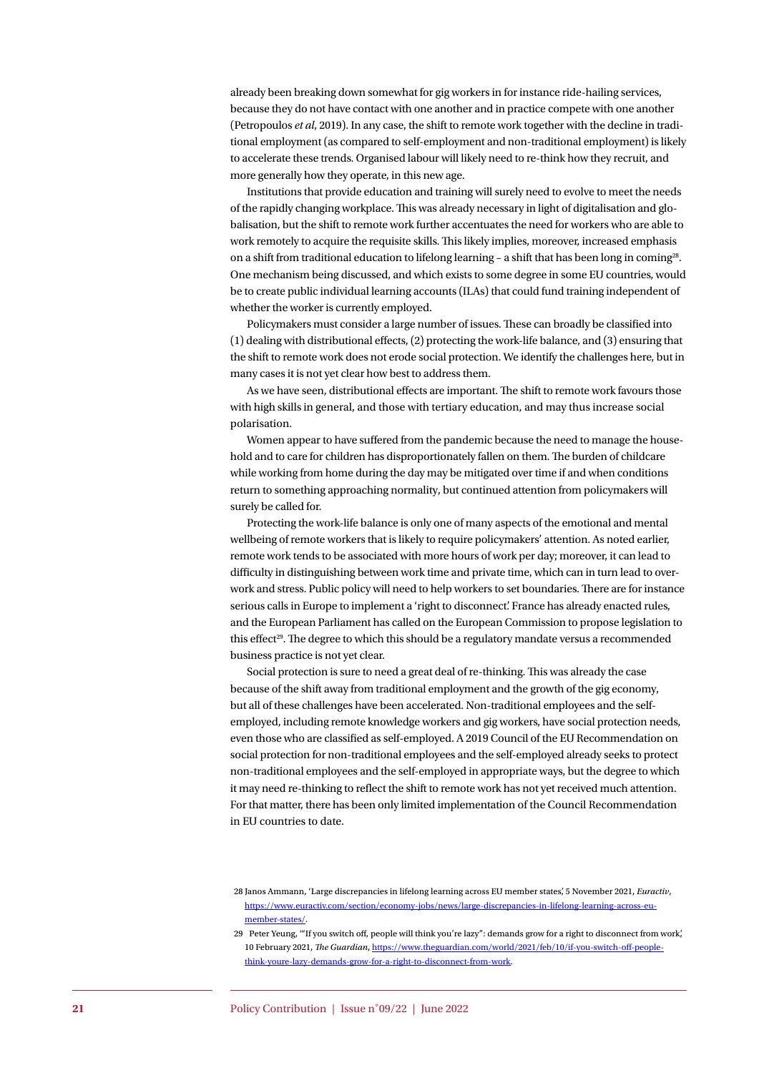already been breaking down somewhat for gig workers in for instance ride-hailing services, because they do not have contact with one another and in practice compete with one another (Petropoulos *et al*, 2019). In any case, the shift to remote work together with the decline in traditional employment (as compared to self-employment and non-traditional employment) is likely to accelerate these trends. Organised labour will likely need to re-think how they recruit, and more generally how they operate, in this new age.

Institutions that provide education and training will surely need to evolve to meet the needs of the rapidly changing workplace. This was already necessary in light of digitalisation and globalisation, but the shift to remote work further accentuates the need for workers who are able to work remotely to acquire the requisite skills. This likely implies, moreover, increased emphasis on a shift from traditional education to lifelong learning  $-$  a shift that has been long in coming<sup>28</sup>. One mechanism being discussed, and which exists to some degree in some EU countries, would be to create public individual learning accounts (ILAs) that could fund training independent of whether the worker is currently employed.

Policymakers must consider a large number of issues. These can broadly be classified into (1) dealing with distributional effects, (2) protecting the work-life balance, and (3) ensuring that the shift to remote work does not erode social protection. We identify the challenges here, but in many cases it is not yet clear how best to address them.

As we have seen, distributional effects are important. The shift to remote work favours those with high skills in general, and those with tertiary education, and may thus increase social polarisation.

Women appear to have suffered from the pandemic because the need to manage the household and to care for children has disproportionately fallen on them. The burden of childcare while working from home during the day may be mitigated over time if and when conditions return to something approaching normality, but continued attention from policymakers will surely be called for.

Protecting the work-life balance is only one of many aspects of the emotional and mental wellbeing of remote workers that is likely to require policymakers' attention. As noted earlier, remote work tends to be associated with more hours of work per day; moreover, it can lead to difficulty in distinguishing between work time and private time, which can in turn lead to overwork and stress. Public policy will need to help workers to set boundaries. There are for instance serious calls in Europe to implement a 'right to disconnect'. France has already enacted rules, and the European Parliament has called on the European Commission to propose legislation to this effect<sup>29</sup>. The degree to which this should be a regulatory mandate versus a recommended business practice is not yet clear.

Social protection is sure to need a great deal of re-thinking. This was already the case because of the shift away from traditional employment and the growth of the gig economy, but all of these challenges have been accelerated. Non-traditional employees and the selfemployed, including remote knowledge workers and gig workers, have social protection needs, even those who are classified as self-employed. A 2019 Council of the EU Recommendation on social protection for non-traditional employees and the self-employed already seeks to protect non-traditional employees and the self-employed in appropriate ways, but the degree to which it may need re-thinking to reflect the shift to remote work has not yet received much attention. For that matter, there has been only limited implementation of the Council Recommendation in EU countries to date.

<sup>28</sup> Janos Ammann, 'Large discrepancies in lifelong learning across EU member states', 5 November 2021, *Euractiv*, [https://www.euractiv.com/section/economy-jobs/news/large-discrepancies-in-lifelong-learning-across-eu](https://www.euractiv.com/section/economy-jobs/news/large-discrepancies-in-lifelong-learning-across-eu-member-states/)[member-states/](https://www.euractiv.com/section/economy-jobs/news/large-discrepancies-in-lifelong-learning-across-eu-member-states/).

<sup>29</sup> Peter Yeung, '"If you switch off, people will think you're lazy": demands grow for a right to disconnect from work', 10 February 2021, *The Guardian*, [https://www.theguardian.com/world/2021/feb/10/if-you-switch-off-people](https://www.theguardian.com/world/2021/feb/10/if-you-switch-off-people-think-youre-lazy-demands-grow-for-a-right-to-disconnect-from-work)[think-youre-lazy-demands-grow-for-a-right-to-disconnect-from-work](https://www.theguardian.com/world/2021/feb/10/if-you-switch-off-people-think-youre-lazy-demands-grow-for-a-right-to-disconnect-from-work).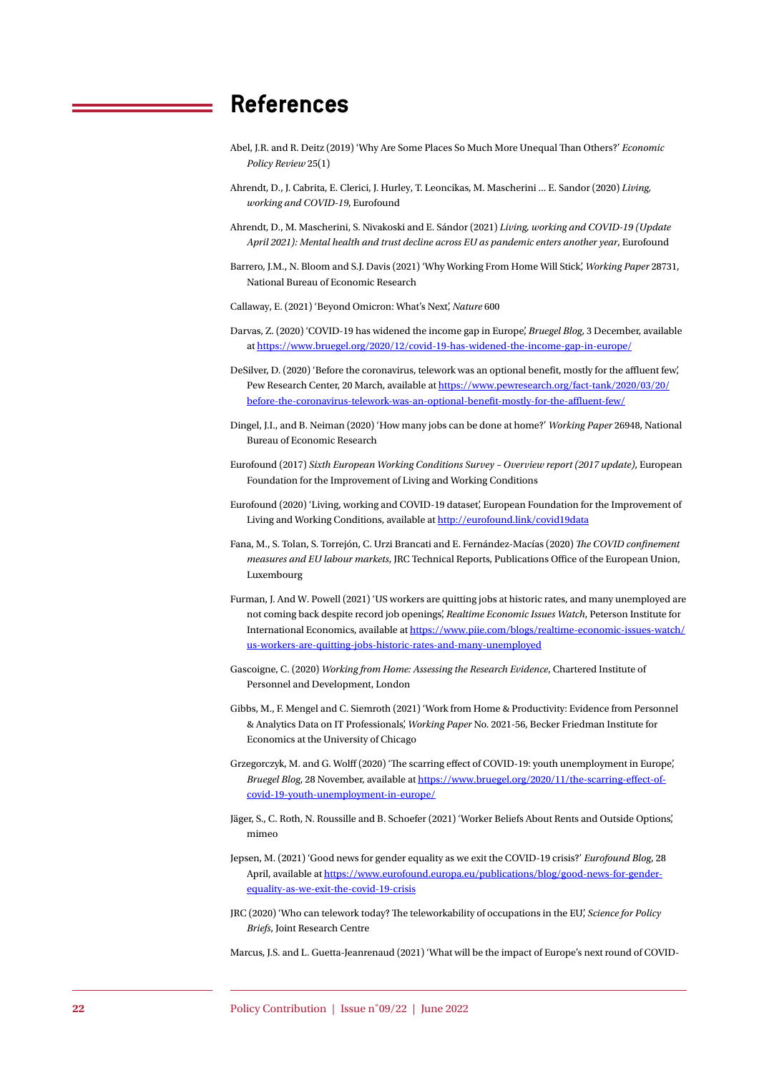# **References**

- Abel, J.R. and R. Deitz (2019) 'Why Are Some Places So Much More Unequal Than Others?' *Economic Policy Review* 25(1)
- Ahrendt, D., J. Cabrita, E. Clerici, J. Hurley, T. Leoncikas, M. Mascherini ... E. Sandor (2020) *Living, working and COVID-19*, Eurofound
- Ahrendt, D., M. Mascherini, S. Nivakoski and E. Sándor (2021) *Living, working and COVID-19 (Update April 2021): Mental health and trust decline across EU as pandemic enters another year*, Eurofound
- Barrero, J.M., N. Bloom and S.J. Davis (2021) 'Why Working From Home Will Stick', *Working Paper* 28731, National Bureau of Economic Research

Callaway, E. (2021) 'Beyond Omicron: What's Next', *Nature* 600

- Darvas, Z. (2020) 'COVID-19 has widened the income gap in Europe', *Bruegel Blog*, 3 December, available at <https://www.bruegel.org/2020/12/covid-19-has-widened-the-income-gap-in-europe/>
- DeSilver, D. (2020) 'Before the coronavirus, telework was an optional benefit, mostly for the affluent few', Pew Research Center, 20 March, available at [https://www.pewresearch.org/fact-tank/2020/03/20/](https://www.pewresearch.org/fact-tank/2020/03/20/before-the-coronavirus-telework-was-an-optional-benefit-mostly-for-the-affluent-few/) [before-the-coronavirus-telework-was-an-optional-benefit-mostly-for-the-affluent-few/](https://www.pewresearch.org/fact-tank/2020/03/20/before-the-coronavirus-telework-was-an-optional-benefit-mostly-for-the-affluent-few/)
- Dingel, J.I., and B. Neiman (2020) 'How many jobs can be done at home?' *Working Paper* 26948, National Bureau of Economic Research
- Eurofound (2017) *Sixth European Working Conditions Survey Overview report (2017 update)*, European Foundation for the Improvement of Living and Working Conditions
- Eurofound (2020) 'Living, working and COVID-19 dataset', European Foundation for the Improvement of Living and Working Conditions, available at<http://eurofound.link/covid19data>
- Fana, M., S. Tolan, S. Torrejón, C. Urzi Brancati and E. Fernández-Macías (2020) *The COVID confinement measures and EU labour markets*, JRC Technical Reports, Publications Office of the European Union, Luxembourg
- Furman, J. And W. Powell (2021) 'US workers are quitting jobs at historic rates, and many unemployed are not coming back despite record job openings', *Realtime Economic Issues Watch*, Peterson Institute for International Economics, available at [https://www.piie.com/blogs/realtime-economic-issues-watch/](https://www.piie.com/blogs/realtime-economic-issues-watch/us-workers-are-quitting-jobs-historic-rates-and-many-unemployed) [us-workers-are-quitting-jobs-historic-rates-and-many-unemployed](https://www.piie.com/blogs/realtime-economic-issues-watch/us-workers-are-quitting-jobs-historic-rates-and-many-unemployed)
- Gascoigne, C. (2020) *Working from Home: Assessing the Research Evidence*, Chartered Institute of Personnel and Development, London
- Gibbs, M., F. Mengel and C. Siemroth (2021) 'Work from Home & Productivity: Evidence from Personnel & Analytics Data on IT Professionals', *Working Paper* No. 2021-56, Becker Friedman Institute for Economics at the University of Chicago
- Grzegorczyk, M. and G. Wolff (2020) 'The scarring effect of COVID-19: youth unemployment in Europe', *Bruegel Blog*, 28 November, available at [https://www.bruegel.org/2020/11/the-scarring-effect-of](https://www.bruegel.org/2020/11/the-scarring-effect-of-covid-19-youth-unemployment-in-europe/)[covid-19-youth-unemployment-in-europe/](https://www.bruegel.org/2020/11/the-scarring-effect-of-covid-19-youth-unemployment-in-europe/)
- Jäger, S., C. Roth, N. Roussille and B. Schoefer (2021) 'Worker Beliefs About Rents and Outside Options', mimeo
- Jepsen, M. (2021) 'Good news for gender equality as we exit the COVID-19 crisis?' *Eurofound Blog*, 28 April, available at [https://www.eurofound.europa.eu/publications/blog/good-news-for-gender](https://www.eurofound.europa.eu/publications/blog/good-news-for-gender-equality-as-we-exit-the-covid-19-crisis)[equality-as-we-exit-the-covid-19-crisis](https://www.eurofound.europa.eu/publications/blog/good-news-for-gender-equality-as-we-exit-the-covid-19-crisis)
- JRC (2020) 'Who can telework today? The teleworkability of occupations in the EU', *Science for Policy Briefs*, Joint Research Centre

Marcus, J.S. and L. Guetta-Jeanrenaud (2021) 'What will be the impact of Europe's next round of COVID-